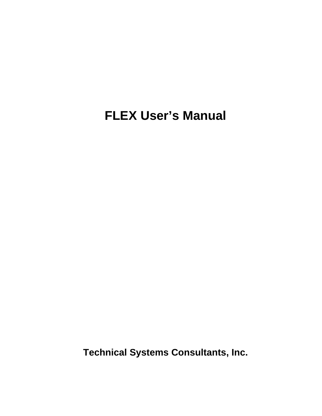# **FLEX User's Manual**

**Technical Systems Consultants, Inc.**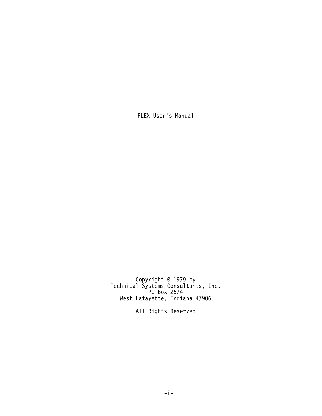FLEX User's Manual

Copyright @ 1979 by Technical Systems Consultants, Inc. PO Box 2574 West Lafayette, Indiana 47906

All Rights Reserved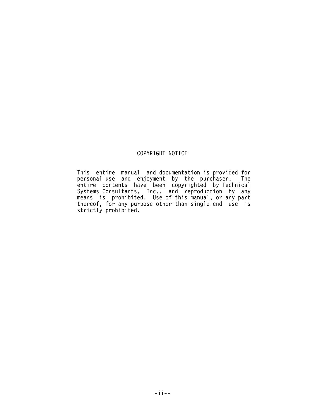# COPYRIGHT NOTICE

This entire manual and documentation is provided for personal use and enjoyment by the purchaser. The personal use and enjoyment by the purchaser. entire contents have been copyrighted by Technical Systems Consultants, Inc., and reproduction by any means is prohibited. Use of this manual, or any part thereof, for any purpose other than single end use is strictly prohibited.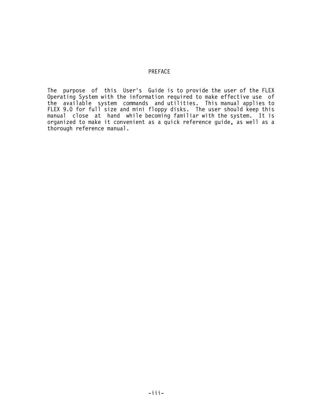## PREFACE

The purpose of this User's Guide is to provide the user of the FLEX Operating System with the information required to make effective use of the available system commands and utilities. This manual applies to FLEX 9.0 for full size and mini floppy disks. The user should keep this manual close at hand while becoming familiar with the system. It is organized to make it convenient as a quick reference guide, as well as a thorough reference manual.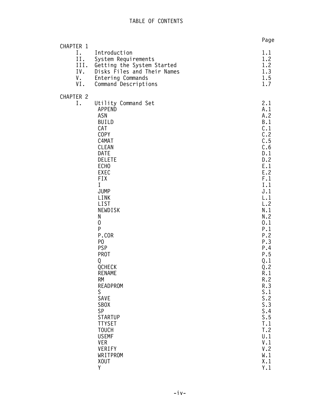| CHAPTER 1                     |                                                                                                                                                                                                                                                                                                                                                                                                                                                                                                                                        | Page                                                                                                                                                                                                                                                                                                      |
|-------------------------------|----------------------------------------------------------------------------------------------------------------------------------------------------------------------------------------------------------------------------------------------------------------------------------------------------------------------------------------------------------------------------------------------------------------------------------------------------------------------------------------------------------------------------------------|-----------------------------------------------------------------------------------------------------------------------------------------------------------------------------------------------------------------------------------------------------------------------------------------------------------|
| I.<br>II.<br>IV.<br>V.<br>VI. | Introduction<br>System Requirements<br>III. Getting the System Started<br>Disks Files and Their Names<br>Entering Commands<br>Command Descriptions                                                                                                                                                                                                                                                                                                                                                                                     | 1.1<br>1.2<br>1.2<br>1.3<br>1.5<br>1.7                                                                                                                                                                                                                                                                    |
| CHAPTER 2<br>Ι.               | Utility Command Set<br><b>APPEND</b><br>ASN<br>BUILD<br>CAT<br>COPY<br>C4MAT<br><b>CLEAN</b><br><b>DATE</b><br><b>DELETE</b><br>ECH <sub>0</sub><br>EXEC<br><b>FIX</b><br>$\mathbf I$<br>JUMP<br>LINK<br>LIST<br>NEWDISK<br>N<br>$\mathbf 0$<br>P<br>P.COR<br>P <sub>0</sub><br><b>PSP</b><br><b>PROT</b><br>Q<br>QCHECK<br><b>RENAME</b><br><b>RM</b><br><b>READPROM</b><br>S<br>SAVE<br><b>SBOX</b><br>SP<br><b>STARTUP</b><br><b>TTYSET</b><br><b>TOUCH</b><br><b>USEMF</b><br><b>VER</b><br>VERIFY<br>WRITPROM<br><b>XOUT</b><br>Y | 2.1<br>A.1<br>A.2<br>B.1<br>C.1<br>C.2<br>C.5<br>C.6<br>D.1<br>D.2<br>E.1<br>E.2<br>F.1<br>I.1<br>J.1<br>L.1<br>L.2<br>N.1<br>N.2<br>0.1<br>P.1<br>P.2<br>P.3<br>P.4<br>P.5<br>Q.1<br>Q.2<br>R.1<br>R.2<br>R.3<br>S.1<br>S.2<br>S.3<br>S.4<br>S.5<br>T.1<br>T.2<br>U.1<br>V.1<br>V.2<br>W.1<br>X.1<br>Y.1 |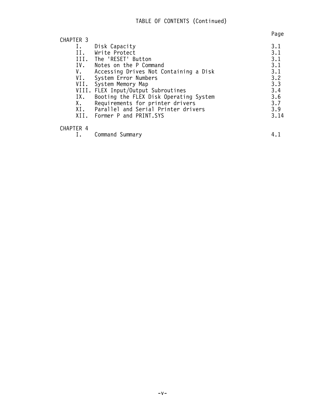|           |                                         | Page |
|-----------|-----------------------------------------|------|
| CHAPTER 3 |                                         |      |
| Ι.        | Disk Capacity                           | 3.1  |
| II.       | Write Protect                           | 3.1  |
|           | III. The 'RESET' Button                 | 3.1  |
|           | IV. Notes on the P Command              | 3.1  |
| V.        | Accessing Drives Not Containing a Disk  | 3.1  |
| VI.       | System Error Numbers                    | 3.2  |
| VII.      | System Memory Map                       | 3.3  |
|           | VIII. FLEX Input/Output Subroutines     | 3.4  |
| IX.       | Booting the FLEX Disk Operating System  | 3.6  |
| X.        | Requirements for printer drivers        | 3.7  |
|           | XI. Parallel and Serial Printer drivers | 3.9  |
|           | XII. Former P and PRINT.SYS             | 3.14 |
| CHAPTER 4 |                                         |      |
| Ι.        | Command Summary                         | 4.1  |
|           |                                         |      |

 $-V -$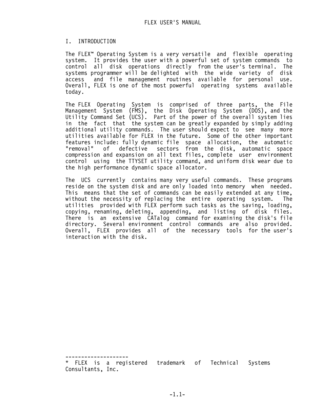## I. INTRODUCTION

The FLEX™ Operating System is a very versatile and flexible operating system. It provides the user with a powerful set of system commands to control all disk operations directly from the user's terminal. The systems programmer will be delighted with the wide variety of disk access and file management routines available for personal use. Overall, FLEX is one of the most powerful operating systems available today.

The FLEX Operating System is comprised of three parts, the File Management System (FMS), the Disk Operating System (DOS), and the Utility Command Set (UCS). Part of the power of the overall system lies in the fact that the system can be greatly expanded by simply adding additional utility commands. The user should expect to see many more utilities available for FLEX in the future. Some of the other important features include: fully dynamic file space allocation, the automatic<br>"removal" of defective sectors from the disk, automatic space of defective sectors from the disk, automatic space compression and expansion on all text files, complete user environment control using the TTYSET utility command, and uniform disk wear due to the high performance dynamic space allocator.

The UCS currently contains many very useful commands. These programs reside on the system disk and are only loaded into memory when needed. This means that the set of commands can be easily extended at any time, without the necessity of replacing the entire operating system. The utilities provided with FLEX perform such tasks as the saving, loading, copying, renaming, deleting, appending, and listing of disk files. There is an extensive CATalog command for examining the disk's file directory. Several environment control commands are also provided. Overall, FLEX provides all of the necessary tools for the user's interaction with the disk.

-------------------- \* FLEX is a registered trademark of Technical Systems Consultants, Inc.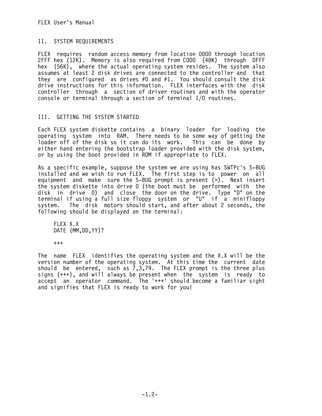# II. SYSTEM REQUIREMENTS

FLEX requires random access memory from location 0000 through location 2FFF hex (12K). Memory is also required from C000 (48K) through DFFF hex (56K), where the actual operating system resides. The system also assumes at least 2 disk drives are connected to the controller and that they are configured as drives #0 and #1. You should consult the disk drive instructions for this information. FLEX interfaces with the disk controller through a section of driver routines and with the operator console or terminal through a section of terminal I/O routines.

# III. GETTING THE SYSTEM STARTED

Each FLEX system diskette contains a binary loader for loading the operating system into RAM. There needs to be some way of getting the loader off of the disk so it can do its work. This can be done by either hand entering the bootstrap loader provided with the disk system, or by using the boot provided in ROM if appropriate to FLEX.

As a specific example, suppose the system we are using has SWTPc's S-BUG installed and we wish to run FLEX. The first step is to power on all equipment and make sure the S-BUG prompt is present (>). Next insert the system diskette into drive 0 (the boot must be performed with the disk in drive 0) and close the door on the drive. Type "D" on the terminal if using a full size floppy system or "U" if a minifloppy system. The disk motors should start, and after about 2 seconds. the following should be displayed on the terminal:

 FLEX X.X DATE (MM,DD,YY)?

+++

The name FLEX identifies the operating system and the X.X will be the version number of the operating system. At this time the current date should be entered, such as 7,3,79. The FLEX prompt is the three plus signs (+++), and will always be present when the system is ready to accept an operator command. The '+++' should become a familiar sight and signifies that FLEX is ready to work for you!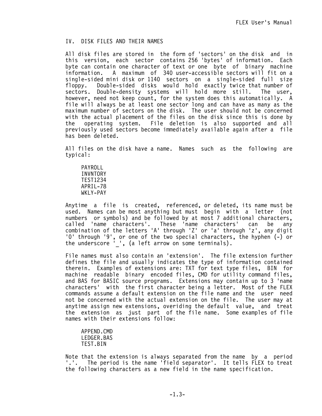# IV. DISK FILES AND THEIR NAMES

All disk files are stored in the form of 'sectors' on the disk and in this version, each sector contains 256 'bytes' of information. Each byte can contain one character of text or one byte of binary machine information. A maximum of 340 user-accessible sectors will fit on a single-sided mini disk or 1140 sectors on a single-sided full size floppy. Double-sided disks would hold exactly twice that number of sectors. Double-density systems will hold more still. The user, however, need not keep count, for the system does this automatically. A file will always be at least one sector long and can have as many as the maximum number of sectors on the disk. The user should not be concerned with the actual placement of the files on the disk since this is done by the operating system. File deletion is also supported and all previously used sectors become immediately available again after a file has been deleted.

All files on the disk have a name. Names such as the following are typical:

 PAYROLL INVNTORY TEST1234 APRIL-78 WKLY-PAY

Anytime a file is created, referenced, or deleted, its name must be used. Names can be most anything but must begin with a letter (not numbers or symbols) and be followed by at most 7 additional characters, called 'name characters'. These 'name characters' can be any combination of the letters 'A' through 'Z' or 'a' through 'z', any digit '0' through '9', or one of the two special characters, the hyphen (-) or the underscore ' ', (a left arrow on some terminals).

File names must also contain an 'extension'. The file extension further defines the file and usually indicates the type of information contained therein. Examples of extensions are: TXT for text type files, BIN for machine readable binary encoded files, CMD for utility command files, and BAS for BASIC source programs. Extensions may contain up to 3 'name characters' with the first character being a letter. Most of the FLEX commands assume a default extension on the file name and the user need not be concerned with the actual extension on the file. The user may at anytime assign new extensions, overiding the default value, and treat the extension as just part of the file name. Some examples of file names with their extensions follow:

 APPEND.CMD LEDGER.BAS TEST.BIN

Note that the extension is always separated from the name by a period '.'. The period is the name 'field separator'. It tells FLEX to treat the following characters as a new field in the name specification.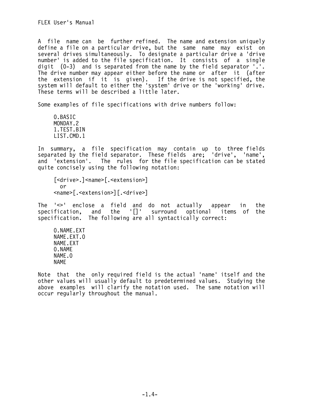A file name can be further refined. The name and extension uniquely define a file on a particular drive, but the same name may exist on several drives simultaneously. To designate a particular drive a 'drive number' is added to the file specification. It consists of a single digit (0-3) and is separated from the name by the field separator '.'. The drive number may appear either before the name or after it (after the extension if it is given). If the drive is not specified, the system will default to either the 'system' drive or the 'working' drive. These terms will be described a little later.

Some examples of file specifications with drive numbers follow:

 0.BASIC MONDAY.2 1.TEST.BIN LIST.CMD.1

In summary, a file specification may contain up to three fields separated by the field separator. These fields are; 'drive', 'name', and 'extension'. The rules for the file specification can be stated quite concisely using the following notation:

[<drive>.]<name>[.<extension>] or <name>[.<extension>][.<drive>]

The '<>' enclose a field and do not actually appear in the specification, and the  $\lceil \cdot \rceil$  surround specification. The following are all syntactically correct:

 0.NAME.EXT NAME.EXT.0 NAME.EXT 0.NAME NAME.0 NAME

Note that the only required field is the actual 'name' itself and the other values will usually default to predetermined values. Studying the above examples will clarify the notation used. The same notation will occur regularly throughout the manual.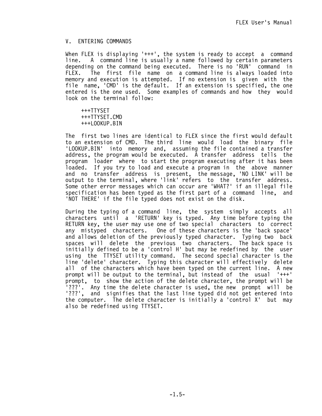## V. ENTERING COMMANDS

When FLEX is displaying '+++', the system is ready to accept a command line. A command line is usually a name followed by certain parameters depending on the command being executed. There is no 'RUN' command in FLEX. The first file name on a command line is always loaded into memory and execution is attempted. If no extension is given with the file name, 'CMD' is the default. If an extension is specified, the one entered is the one used. Some examples of commands and how they would look on the terminal follow:

 +++TTYSET +++TTYSET.CMD +++LOOKUP.BIN

The first two lines are identical to FLEX since the first would default to an extension of CMD. The third line would load the binary file 'LOOKUP.BIN' into memory and, assuming the file contained a transfer address, the program would be executed. A transfer address tells the program loader where to start the program executing after it has been loaded. If you try to load and execute a program in the above manner and no transfer address is present, the message, 'NO LINK' will be output to the terminal, where 'link' refers to the transfer address. Some other error messages which can occur are 'WHAT?' if an illegal file specification has been typed as the first part of a command line, and 'NOT THERE' if the file typed does not exist on the disk.

During the typing of a command line, the system simply accepts all characters until a 'RETURN' key is typed. Any time before typing the RETURN key, the user may use one of two special characters to correct any mistyped characters. One of these characters is the 'back space' and allows deletion of the previously typed character. Typing two back spaces will delete the previous two characters. The back space is initially defined to be a 'control H' but may be redefined by the user using the TTYSET utility command. The second special character is the line 'delete' character. Typing this character will effectively delete all of the characters which have been typed on the current line. A new prompt will be output to the terminal, but instead of the usual '+++' prompt, to show the action of the delete character, the prompt will be '???'. Any time the delete character is used, the new prompt will be '???', and signifies that the last line typed did not get entered into the computer. The delete character is initially a 'control X' but may also be redefined using TTYSET.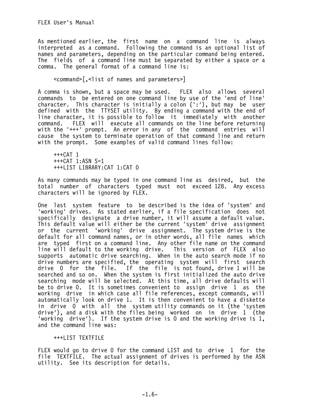As mentioned earlier, the first name on a command line is always interpreted as a command. Following the command is an optional list of names and parameters, depending on the particular command being entered. The fields of a command line must be separated by either a space or a comma. The general format of a command line is:

<command>[,<list of names and parameters>]

A comma is shown, but a space may be used. FLEX also allows several commands to be entered on one command line by use of the 'end of line' character. This character is initially a colon (':'), but may be user defined with the TTYSET utility. By ending a command with the end of line character, it is possible to follow it immediately with another command. FLEX will execute all commands on the line before returning with the '+++' prompt. An error in any of the command entries will cause the system to terminate operation of that command line and return with the prompt. Some examples of valid command lines follow:

 +++CAT 1 +++CAT 1:ASN S=1 +++LIST LIBRARY:CAT 1:CAT 0

As many commands may be typed in one command line as desired, but the total number of characters typed must not exceed 128. Any excess characters will be ignored by FLEX.

One last system feature to be described is the idea of 'system' and 'working' drives. As stated earlier, if a file specification does not specifically designate a drive number, it will assume a default value. This default value will either be the current 'system' drive assignment or the current 'working' drive assignment. The system drive is the default for all command names, or in other words, all file names which are typed first on a command line. Any other file name on the command line will default to the working drive. This version of FLEX also supports automatic drive searching. When in the auto search mode if no drive numbers are specified, the operating system will first search drive 0 for the file. If the file is not found, drive 1 will be searched and so on. When the system is first initialized the auto drive searching mode will be selected. At this time, all drive defaults will be to drive 0. It is sometimes convenient to assign drive 1 as the working drive in which case all file references, except commands, will automatically look on drive 1. It is then convenient to have a diskette in drive 0 with all the system utility commands on it (the 'system drive'), and a disk with the files being worked on in drive 1 (the 'working drive'). If the system drive is 0 and the working drive is 1, and the command line was:

# +++LIST TEXTFILE

FLEX would go to drive 0 for the command LIST and to drive 1 for the file TEXTFILE. The actual assignment of drives is performed by the ASN utility. See its description for details.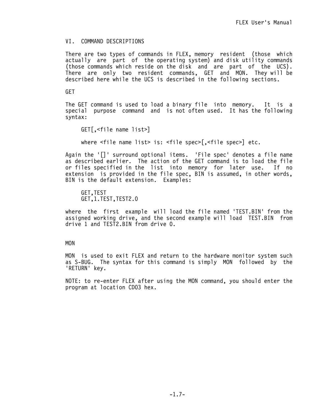# VI. COMMAND DESCRIPTIONS

There are two types of commands in FLEX, memory resident (those which actually are part of the operating system) and disk utility commands (those commands which reside on the disk and are part of the UCS). There are only two resident commands, GET and MON. They will be described here while the UCS is described in the following sections.

## GET

The GET command is used to load a binary file into memory. It is a special purpose command and is not often used. It has the following syntax:

GET[,<file name list>]

where <file name list> is: <file spec>[,<file spec>] etc.

Again the '[]' surround optional items. 'File spec' denotes a file name as described earlier. The action of the GET command is to load the file or files specified in the list into memory for later use. If no extension is provided in the file spec, BIN is assumed, in other words, BIN is the default extension. Examples:

 GET,TEST GET,1.TEST,TEST2.0

where the first example will load the file named 'TEST.BIN' from the assigned working drive, and the second example will load TEST.BIN from drive 1 and TEST2.BIN from drive 0.

# MON

MON is used to exit FLEX and return to the hardware monitor system such as S-BUG. The syntax for this command is simply MON followed by the 'RETURN' key.

NOTE: to re-enter FLEX after using the MON command, you should enter the program at location CD03 hex.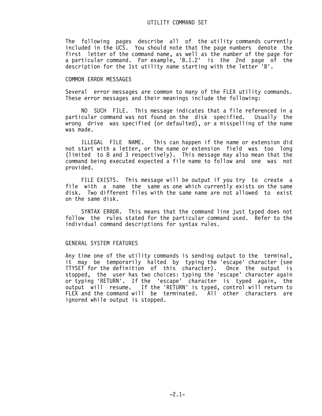The following pages describe all of the utility commands currently included in the UCS. You should note that the page numbers denote the first letter of the command name, as well as the number of the page for a particular command. For example, 'B.1.2' is the 2nd page of the description for the 1st utility name starting with the letter 'B'.

#### COMMON ERROR MESSAGES

Several error messages are common to many of the FLEX utility commands. These error messages and their meanings include the following:

 NO SUCH FILE. This message indicates that a file referenced in a particular command was not found on the disk specified. Usually the wrong drive was specified (or defaulted), or a misspelling of the name was made.

 ILLEGAL FILE NAME. This can happen if the name or extension did not start with a letter, or the name or extension field was too long (limited to 8 and 3 respectively). This message may also mean that the command being executed expected a file name to follow and one was not provided.

 FILE EXISTS. This message will be output if you try to create a file with a name the same as one which currently exists on the same disk. Two different files with the same name are not allowed to exist on the same disk.

 SYNTAX ERROR. This means that the command line just typed does not follow the rules stated for the particular command used. Refer to the individual command descriptions for syntax rules.

## GENERAL SYSTEM FEATURES

Any time one of the utility commands is sending output to the terminal, it may be temporarily halted by typing the 'escape' character (see TTYSET for the definition of this character). Once the output is stopped, the user has two choices: typing the 'escape' character again or typing 'RETURN'. If the 'escape' character is typed again, the output will resume. If the 'RETURN' is typed, control will return to FLEX and the command will be terminated. All other characters are ignored while output is stopped.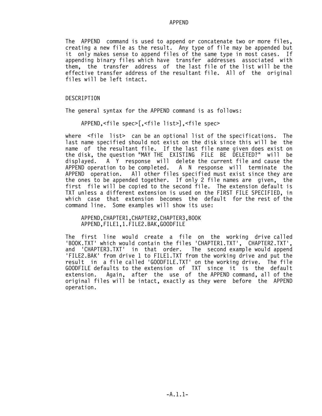#### APPEND

The APPEND command is used to append or concatenate two or more files, creating a new file as the result. Any type of file may be appended but it only makes sense to append files of the same type in most cases. If appending binary files which have transfer addresses associated with them, the transfer address of the last file of the list will be the effective transfer address of the resultant file. All of the original files will be left intact.

## DESCRIPTION

The general syntax for the APPEND command is as follows:

APPEND,<file spec>[,<file list>],<file spec>

where <file list> can be an optional list of the specifications. The last name specified should not exist on the disk since this will be the name of the resultant file. If the last file name given does exist on the disk, the question "MAY THE EXISTING FILE BE DELETED?" will be displayed. A Y response will delete the current file and cause the<br>APPEND operation to be completed. A N response will terminate the APPEND operation to be completed. A N response will terminate the<br>APPEND operation. All other files specified must exist since they are All other files specified must exist since they are the ones to be appended together. If only 2 file names are given, the first file will be copied to the second file. The extension default is TXT unless a different extension is used on the FIRST FILE SPECIFIED, in which case that extension becomes the default for the rest of the command line. Some examples will show its use:

 APPEND,CHAPTER1,CHAPTER2,CHAPTER3,BOOK APPEND,FILE1,1.FILE2.BAK,GOODFILE

The first line would create a file on the working drive called 'BOOK.TXT' which would contain the files 'CHAPTER1.TXT', CHAPTER2.TXT', and 'CHAPTER3.TXT' in that order. The second example would append 'FILE2.BAK' from drive 1 to FILE1.TXT from the working drive and put the result in a file called 'GOODFILE.TXT' on the working drive. The file GOODFILE defaults to the extension of TXT since it is the default extension. Again, after the use of the APPEND command, all of the original files will be intact, exactly as they were before the APPEND operation.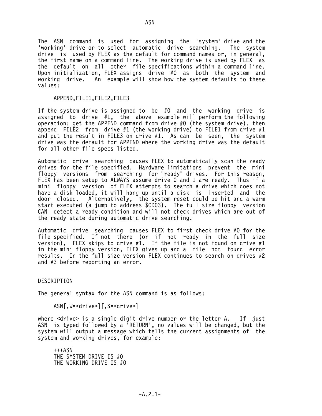The ASN command is used for assigning the 'system' drive and the 'working' drive or to select automatic drive searching. The system drive is used by FLEX as the default for command names or, in general, the first name on a command line. The working drive is used by FLEX as the default on all other file specifications within a command line. Upon initialization, FLEX assigns drive #0 as both the system and working drive. An example will show how the system defaults to these values:

## APPEND,FILE1,FILE2,FILE3

If the system drive is assigned to be #0 and the working drive is assigned to drive #1, the above example will perform the following operation: get the APPEND command from drive #0 (the system drive), then append FILE2 from drive #1 (the working drive) to FILE1 from drive #1 and put the result in FILE3 on drive  $#1$ . As can be seen, the system drive was the default for APPEND where the working drive was the default for all other file specs listed.

Automatic drive searching causes FLEX to automatically scan the ready drives for the file specified. Hardware limitations prevent the mini floppy versions from searching for "ready" drives. For this reason, FLEX has been setup to ALWAYS assume drive 0 and 1 are ready. Thus if a mini floppy version of FLEX attempts to search a drive which does not have a disk loaded, it will hang up until a disk is inserted and the door closed. Alternatively, the system reset could be hit and a warm start executed (a jump to address \$CD03). The full size floppy version CAN detect a ready condition and will not check drives which are out of the ready state during automatic drive searching.

Automatic drive searching causes FLEX to first check drive #0 for the file specified. If not there (or if not ready in the full size version), FLEX skips to drive  $#1$ . If the file is not found on drive  $#1$ in the mini floppy version, FLEX gives up and a file not found error results. In the full size version FLEX continues to search on drives #2 and #3 before reporting an error.

DESCRIPTION

The general syntax for the ASN command is as follows:

ASN[,W=<drive>][,S=<drive>]

where  $\le$ drive> is a single digit drive number or the letter A. If just ASN is typed followed by a 'RETURN', no values will be changed, but the system will output a message which tells the current assignments of the system and working drives, for example:

 $+++ASN$  THE SYSTEM DRIVE IS #0 THE WORKING DRIVE IS #0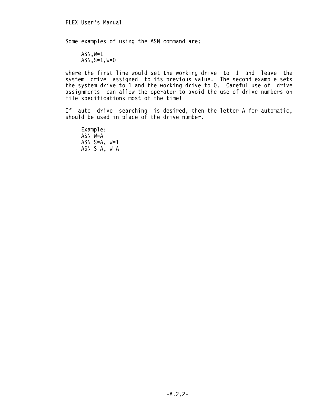Some examples of using the ASN command are:

 $ASN, W=1$  $ASN, S=1, W=0$ 

where the first line would set the working drive to 1 and leave the system drive assigned to its previous value. The second example sets the system drive to 1 and the working drive to 0. Careful use of drive assignments can allow the operator to avoid the use of drive numbers on file specifications most of the time!

If auto drive searching is desired, then the letter A for automatic, should be used in place of the drive number.

 Example: ASN W=A ASN  $S=A$ ,  $W=1$ ASN  $S=A$ ,  $W=A$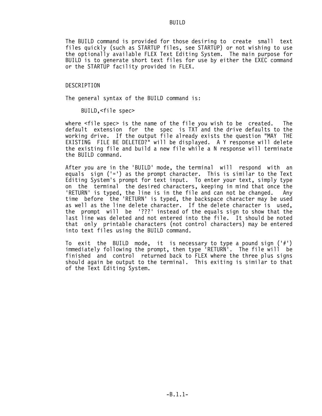# **BUILD**

The BUILD command is provided for those desiring to create small text files quickly (such as STARTUP files, see STARTUP) or not wishing to use the optionally available FLEX Text Editing System. The main purpose for BUILD is to generate short text files for use by either the EXEC command or the STARTUP facility provided in FLEX.

#### DESCRIPTION

The general syntax of the BUILD command is:

BUILD,<file spec>

where <file spec> is the name of the file you wish to be created. The default extension for the spec is TXT and the drive defaults to the working drive. If the output file already exists the question "MAY THE EXISTING FILE BE DELETED?" will be displayed. A Y response will delete the existing file and build a new file while a N response will terminate the BUILD command.

After you are in the 'BUILD' mode, the terminal will respond with an equals sign  $(1-i)$  as the prompt character. This is similar to the Text Editing System's prompt for text input. To enter your text, simply type on the terminal the desired characters, keeping in mind that once the 'RETURN' is typed, the line is in the file and can not be changed. Any time before the 'RETURN' is typed, the backspace character may be used as well as the line delete character. If the delete character is used, the prompt will be '???' instead of the equals sign to show that the last line was deleted and not entered into the file. It should be noted that only printable characters (not control characters) may be entered into text files using the BUILD command.

To exit the BUILD mode, it is necessary to type a pound sign  $('#')$ immediately following the prompt, then type 'RETURN'. The file will be finished and control returned back to FLEX where the three plus signs should again be output to the terminal. This exiting is similar to that of the Text Editing System.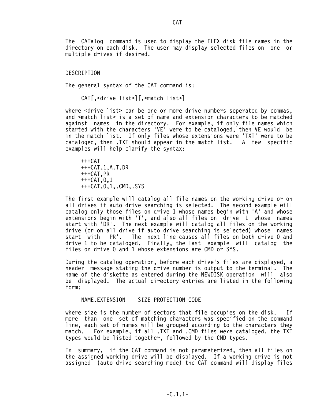The CATalog command is used to display the FLEX disk file names in the directory on each disk. The user may display selected files on one or multiple drives if desired.

## DESCRIPTION

The general syntax of the CAT command is:

CAT[,<drive list>][,<match list>]

where <drive list> can be one or more drive numbers seperated by commas, and <match list> is a set of name and extension characters to be matched against names in the directory. For example, if only file names which started with the characters 'VE' were to be cataloged, then VE would be in the match list. If only files whose extensions were 'TXT' were to be cataloged, then .TXT should appear in the match list. A few specific examples will help clarify the syntax:

 $+++CAT$  +++CAT,1,A.T,DR +++CAT,PR  $+++CAT.0.1$ +++CAT,0,1,.CMD,.SYS

The first example will catalog all file names on the working drive or on all drives if auto drive searching is selected. The second example will catalog only those files on drive 1 whose names begin with 'A' and whose extensions begin with 'T', and also all files on drive 1 whose names start with 'DR'. The next example will catalog all files on the working drive (or on all drive if auto drive searching is selected) whose names<br>start with 'PR'. The next line causes all files on both drive O and The next line causes all files on both drive 0 and drive 1 to be cataloged. Finally, the last example will catalog the files on drive 0 and 1 whose extensions are CMD or SYS.

During the catalog operation, before each drive's files are displayed, a header message stating the drive number is output to the terminal. The name of the diskette as entered during the NEWDISK operation will also be displayed. The actual directory entries are listed in the following form:

NAME.EXTENSION SIZE PROTECTION CODE

where size is the number of sectors that file occupies on the disk. If more than one set of matching characters was specified on the command line, each set of names will be grouped according to the characters they match. For example, if all .TXT and .CMD files were cataloged, the TXT types would be listed together, followed by the CMD types.

In summary, if the CAT command is not parameterized, then all files on the assigned working drive will be displayed. If a working drive is not assigned (auto drive searching mode) the CAT command will display files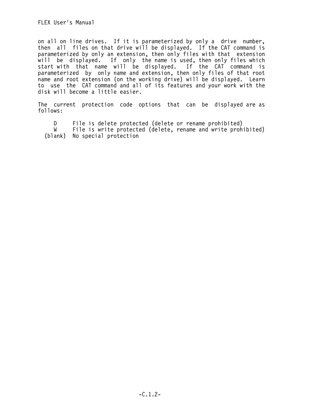on all on line drives. If it is parameterized by only a drive number, then all files on that drive will be displayed. If the CAT command is parameterized by only an extension, then only files with that extension will be displayed. If only the name is used, then only files which start with that name will be displayed. If the CAT command is parameterized by only name and extension, then only files of that root name and root extension (on the working drive) will be displayed. Learn to use the CAT command and all of its features and your work with the disk will become a little easier.

The current protection code options that can be displayed are as follows:

D File is delete protected (delete or rename prohibited)<br>W File is write protected (delete, rename and write proh File is write protected (delete, rename and write prohibited) (blank) No special protection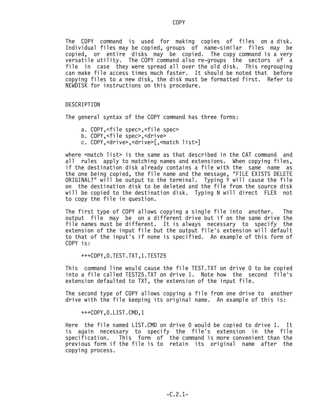The COPY command is used for making copies of files on a disk. Individual files may be copied, groups of name-similar files may be copied, or entire disks may be copied. The copy command is a very versatile utility. The COPY command also re-groups the sectors of a file in case they were spread all over the old disk. This regrouping can make file access times much faster. It should be noted that before copying files to a new disk, the disk must be formatted first. Refer to NEWDISK for instructions on this procedure.

#### DESCRIPTION

The general syntax of the COPY command has three forms:

- a. COPY,<file spec>,<file spec>
- b. COPY,<file spec>,<drive>
- c. COPY,<drive>,<drive>[,<match list>]

where  $\leq$  match list> is the same as that described in the CAT command and all rules apply to matching names and extensions. When copying files, if the destination disk already contains a file with the same name as the one being copied, the file name and the message, "FILE EXISTS DELETE ORIGINAL?" will be output to the terminal. Typing  $\gamma$  will cause the file on the destination disk to be deleted and the file from the source disk will be copied to the destination disk. Typing N will direct FLEX not to copy the file in question.

The first type of COPY allows copying a single file into another. The output file may be on a different drive but if on the same drive the file names must be different. It is always necessary to specify the extension of the input file but the output file's extension will default to that of the input's if none is specified. An example of this form of COPY is:

+++COPY,0.TEST.TXT,1.TEST25

This command line would cause the file TEST.TXT on drive 0 to be copied into a file called TEST25.TXT on drive 1. Note how the second file's extension defaulted to TXT, the extension of the input file.

The second type of COPY allows copying a file from one drive to another drive with the file keeping its original name. An example of this is:

+++COPY,0.LIST.CMD,1

Here the file named LIST.CMD on drive 0 would be copied to drive 1. It is again necessary to specify the file's extension in the file specification. This form of the command is more convenient than the previous form if the file is to retain its original name after the copying process.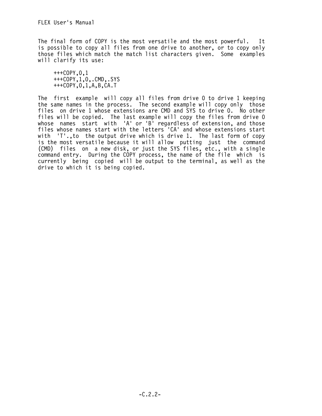The final form of COPY is the most versatile and the most powerful. It is possible to copy all files from one drive to another, or to copy only those files which match the match list characters given. Some examples will clarify its use:

 +++COPY,0,1 +++COPY,1,0,.CMD,.SYS +++COPY,0,1,A,B,CA.T

The first example will copy all files from drive 0 to drive 1 keeping the same names in the process. The second example will copy only those files on drive 1 whose extensions are CMD and SYS to drive 0. No other files will be copied. The last example will copy the files from drive 0 whose names start with 'A' or 'B' regardless of extension, and those files whose names start with the letters 'CA' and whose extensions start with 'T'., to the output drive which is drive 1. The last form of copy is the most versatile because it will allow putting just the command (CMD) files on a new disk, or just the SYS files, etc., with a single command entry. During the COPY process, the name of the file which is currently being copied will be output to the terminal, as well as the drive to which it is being copied.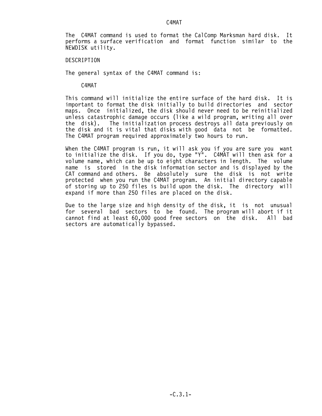# C4MAT

The C4MAT command is used to format the CalComp Marksman hard disk. It performs a surface verification and format function similar to the NEWDISK utility.

#### DESCRIPTION

The general syntax of the C4MAT command is:

C4MAT

This command will initialize the entire surface of the hard disk. It is important to format the disk initially to build directories and sector maps. Once initialized, the disk should never need to be reinitialized unless catastrophic damage occurs (like a wild program, writing all over the disk). The initialization process destroys all data previously on the disk and it is vital that disks with good data not be formatted. The C4MAT program required approximately two hours to run.

When the C4MAT program is run, it will ask you if you are sure you want to initialize the disk. If you do, type "Y". C4MAT will then ask for a volume name, which can be up to eight characters in length. The volume name is stored in the disk information sector and is displayed by the CAT command and others. Be absolutely sure the disk is not write protected when you run the C4MAT program. An initial directory capable of storing up to 250 files is build upon the disk. The directory will expand if more than 250 files are placed on the disk.

Due to the large size and high density of the disk, it is not unusual for several bad sectors to be found. The program will abort if it cannot find at least 60,000 good free sectors on the disk. All bad sectors are automatically bypassed.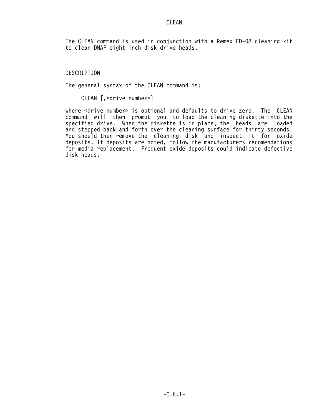The CLEAN command is used in conjunction with a Remex FD-08 cleaning kit to clean DMAF eight inch disk drive heads.

# DESCRIPTION

The general syntax of the CLEAN command is:

CLEAN [,<drive number>]

where <drive number> is optional and defaults to drive zero. The CLEAN command will then prompt you to load the cleaning diskette into the specified drive. When the diskette is in place, the heads are loaded and stepped back and forth over the cleaning surface for thirty seconds. You should then remove the cleaning disk and inspect it for oxide deposits. If deposits are noted, follow the manufacturers recomendations for media replacement. Frequent oxide deposits could indicate defective disk heads.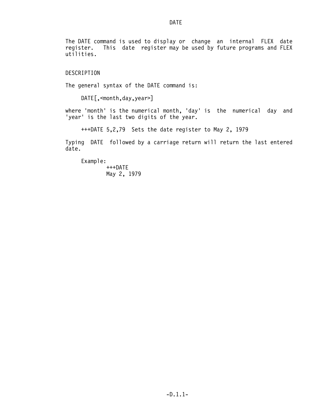The DATE command is used to display or change an internal FLEX date register. This date register may be used by future programs and FLEX utilities.

## DESCRIPTION

The general syntax of the DATE command is:

DATE[,<month,day,year>]

where 'month' is the numerical month, 'day' is the numerical day and 'year' is the last two digits of the year.

+++DATE 5,2,79 Sets the date register to May 2, 1979

Typing DATE followed by a carriage return will return the last entered date.

 Example: +++DATE May 2, 1979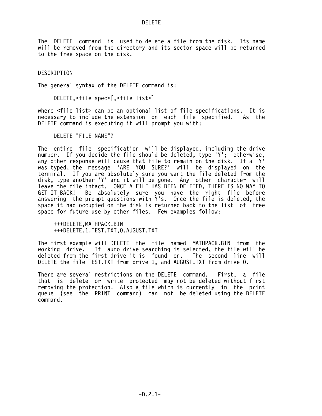DELETE

The DELETE command is used to delete a file from the disk. Its name will be removed from the directory and its sector space will be returned to the free space on the disk.

DESCRIPTION

The general syntax of the DELETE command is:

DELETE,<file spec>[,<file list>]

where <file list> can be an optional list of file specifications. It is necessary to include the extension on each file specified. As the DELETE command is executing it will prompt you with:

DELETE "FILE NAME"?

The entire file specification will be displayed, including the drive number. If you decide the file should be deleted, type 'Y'; otherwise, any other response will cause that file to remain on the disk. If a 'Y' was typed, the message 'ARE YOU SURE?' will be displayed on the terminal. If you are absolutely sure you want the file deleted from the disk, type another 'Y' and it will be gone. Any other character will leave the file intact. ONCE A FILE HAS BEEN DELETED, THERE IS NO WAY TO GET IT BACK! Be absolutely sure you have the right file before answering the prompt questions with  $Y's$ . Once the file is deleted, the space it had occupied on the disk is returned back to the list of free space for future use by other files. Few examples follow:

 +++DELETE,MATHPACK.BIN +++DELETE,1.TEST.TXT,0.AUGUST.TXT

The first example will DELETE the file named MATHPACK.BIN from the working drive. If auto drive searching is selected, the file will be deleted from the first drive it is found on. The second line will DELETE the file TEST.TXT from drive 1, and AUGUST.TXT from drive 0.

There are several restrictions on the DELETE command. First, a file that is delete or write protected may not be deleted without first removing the protection. Also a file which is currently in the print queue (see the PRINT command) can not be deleted using the DELETE command.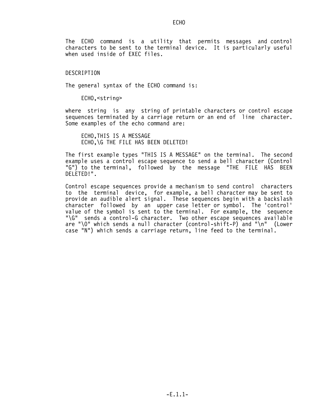The ECHO command is a utility that permits messages and control characters to be sent to the terminal device. It is particularly useful when used inside of EXEC files.

#### DESCRIPTION

The general syntax of the ECHO command is:

ECHO,<string>

where string is any string of printable characters or control escape sequences terminated by a carriage return or an end of line character. Some examples of the echo command are:

 ECHO,THIS IS A MESSAGE ECHO,\G THE FILE HAS BEEN DELETED!

The first example types "THIS IS A MESSAGE" on the terminal. The second example uses a control escape sequence to send a bell character (Control "G") to the terminal, followed by the message "THE FILE HAS BEEN DELETED!".

Control escape sequences provide a mechanism to send control characters to the terminal device, for example, a bell character may be sent to provide an audible alert signal. These sequences begin with a backslash character followed by an upper case letter or symbol. The 'control' value of the symbol is sent to the terminal. For example, the sequence "\G" sends a control-G character. Two other escape sequences available are "\0" which sends a null character (control-shift-P) and "\n" (Lower case "N") which sends a carriage return, line feed to the terminal.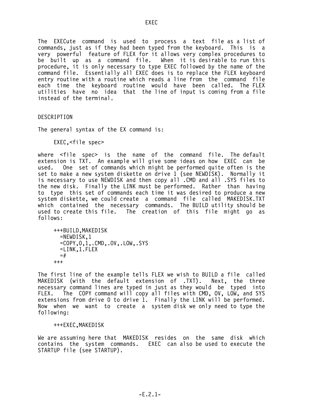The EXECute command is used to process a text file as a list of commands, just as if they had been typed from the keyboard. This is a very powerful feature of FLEX for it allows very complex procedures to be built up as a command file. When it is desirable to run this procedure, it is only necessary to type EXEC followed by the name of the command file. Essentially all EXEC does is to replace the FLEX keyboard entry routine with a routine which reads a line from the command file each time the keyboard routine would have been called. The FLEX utilities have no idea that the line of input is coming from a file instead of the terminal.

DESCRIPTION

The general syntax of the EX command is:

EXEC,<file spec>

where <file spec> is the name of the command file. The default extension is TXT. An example will give some ideas on how EXEC can be used. One set of commands which might be performed quite often is the set to make a new system diskette on drive 1 (see NEWDISK). Normally it is necessary to use NEWDISK and then copy all .CMD and all .SYS files to the new disk. Finally the LINK must be performed. Rather than having to type this set of commands each time it was desired to produce a new system diskette, we could create a command file called MAKEDISK.TXT which contained the necessary commands. The BUILD utility should be used to create this file. The creation of this file might go as follows:

 +++BUILD,MAKEDISK =NEWDISK,1 =COPY,0,1,.CMD,.OV,.LOW,.SYS =LINK,1.FLEX  $=$ # +++

The first line of the example tells FLEX we wish to BUILD a file called MAKEDISK (with the default extension of .TXT). Next, the three necessary command lines are typed in just as they would be typed into FLEX. The COPY command will copy all files with CMD, OV, LOW, and SYS extensions from drive 0 to drive 1. Finally the LINK will be performed. Now when we want to create a system disk we only need to type the following:

#### +++EXEC,MAKEDISK

We are assuming here that MAKEDISK resides on the same disk which contains the system commands. EXEC can also be used to execute the STARTUP file (see STARTUP).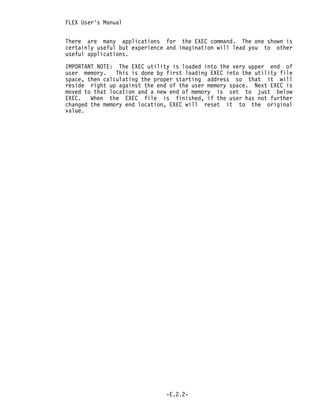There are many applications for the EXEC command. The one shown is certainly useful but experience and imagination will lead you to other useful applications.

IMPORTANT NOTE: The EXEC utility is loaded into the very upper end of user memory. This is done by first loading EXEC into the utility file This is done by first loading EXEC into the utility file space, then calculating the proper starting address so that it will reside right up against the end of the user memory space. Next EXEC is moved to that location and a new end of memory is set to just below EXEC. When the EXEC file is finished, if the user has not further changed the memory end location, EXEC will reset it to the original value.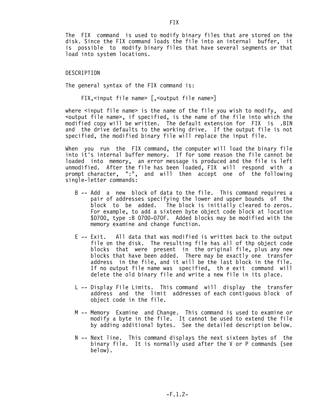The FIX command is used to modify binary files that are stored on the disk. Since the FIX command loads the file into an internal buffer, it is possible to modify binary files that have several segments or that load into system locations.

### DESCRIPTION

The general syntax of the FIX command is:

FIX,<input file name> [,<output file name>]

where  $\le$ input file name> is the name of the file you wish to modify, and <output file name>, if specified, is the name of the file into which the modified copy will be written. The default extension for FIX is .BIN and the drive defaults to the working drive. If the output file is not specified, the modified binary file will replace the input file.

When you run the FIX command, the computer will load the binary file into it's internal buffer memory. If for some reason the file cannot be loaded into memory, an error message is produced and the file is left unmodified. After the file has been loaded, FIX will respond with a prompt character, ":", and will then accept one of the following single-letter commands:

- B -- Add a new block of data to the file. This command requires a pair of addresses specifying the lower and upper bounds of the block to be added. The block is initially cleared to zeros. For example, to add a sixteen byte object code block at location \$0700, type :B 0700-070F. Added blocks may be modified with the memory examine and change function.
- E -- Exit. All data that was modified is written back to the output file on the disk. The resulting file has all of thp object code blocks that were present in the original file, plus any new blocks that have been added. There may be exactly one transfer address in the file, and it will be the last block in the file. If no output file name was specified, th e exit command will delete the old binary file and write a new file in its place.
	- L -- Display File Limits. This command will display the transfer address and the limit addresses of each contiguous block of object code in the file.
	- M -- Memory Examine and Change. This command is used to examine or modify a byte in the file. It cannot be used to extend the file by adding additional bytes. See the detailed description below.
	- N -- Next line. This command displays the next sixteen bytes of the binary file. It is normally used after the V or P commands (see below).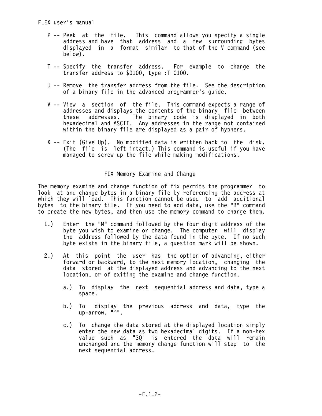- P -- Peek at the file. This command allows you specify a single address and have that address and a few surrounding bytes displayed in a format similar to that of the V command (see below).
	- T -- Specify the transfer address. For example to change the transfer address to \$0100, type :T 0100.
	- U -- Remove the transfer address from the file. See the description of a binary file in the advanced programmer's guide.
	- V -- View a section of the file. This command expects a range of addresses and displays the contents of the binary file between<br>these addresses. The binary code is displayed in both addresses. The binary code is displayed in both hexadecimal and ASCII. Any addresses in the range not contained within the binary file are displayed as a pair of hyphens.
	- X -- Exit (Give Up). No modified data is written back to the disk. (The file is left intact.) This command is useful if you have managed to screw up the file while making modifications.

## FIX Memory Examine and Change

The memory examine and change function of fix permits the programmer to look at and change bytes in a binary file by referencing the address at which they will load. This function cannot be used to add additional bytes to the binary tile. If you need to add data, use the "B" command to create the new bytes, and then use the memory command to change them.

- 1.) Enter the "M" command followed by the four digit address of the byte you wish to examine or change. The computer will display the address followed by the data found in the byte. If no such byte exists in the binary file, a question mark will be shown.
- 2.) At this point the user has the option of advancing, either forward or backward, to the next memory location, changing the data stored at the displayed address and advancing to the next location, or of exiting the examine and change function.
	- a.) To display the next sequential address and data, type a space.
	- b.) To display the previous address and data, type the up-arrow. "^".
	- c.) To change the data stored at the displayed location simply enter the new data as two hexadecimal digits. If a non-hex value such as "3Q" is entered the data will remain unchanged and the memory change function will step to the next sequential address.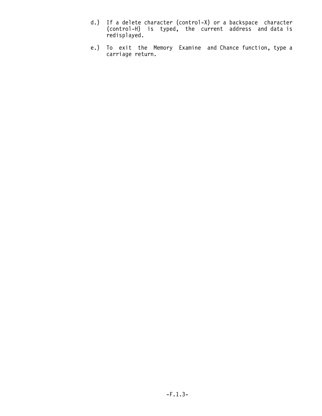- d.) If a delete character (control-X) or a backspace character (control-H) is typed, the current address and data is redisplayed.
- e.) To exit the Memory Examine and Chance function, type a carriage return.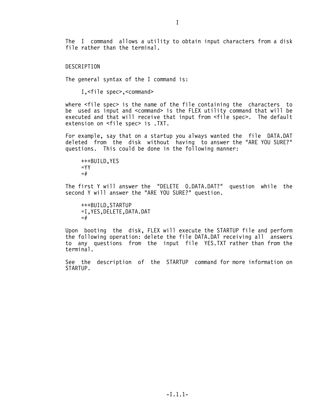The I command allows a utility to obtain input characters from a disk file rather than the terminal.

DESCRIPTION

The general syntax of the I command is:

I,<file spec>,<command>

where <file spec> is the name of the file containing the characters to be used as input and <command> is the FLEX utility command that will be executed and that will receive that input from <file spec>. The default extension on <file spec> is .TXT.

For example, say that on a startup you always wanted the file DATA.DAT deleted from the disk without having to answer the "ARE YOU SURE?" questions. This could be done in the following manner:

 +++BUILD,YES  $=$  YY  $=$ #

The first Y will answer the "DELETE 0.DATA.DAT?" question while the second Y will answer the "ARE YOU SURE?" question.

 +++BUILD,STARTUP =I,YES,DELETE,DATA.DAT  $=$ #

Upon booting the disk, FLEX will execute the STARTUP file and perform the following operation: delete the file DATA.DAT receiving all answers to any questions from the input file YES.TXT rather than from the terminal.

See the description of the STARTUP command for more information on STARTUP.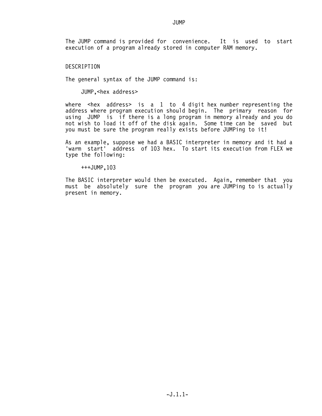# **JUMP**

The JUMP command is provided for convenience. It is used to start execution of a program already stored in computer RAM memory.

### DESCRIPTION

The general syntax of the JUMP command is:

JUMP,<hex address>

where  $\leq$  hex address> is a 1 to 4 digit hex number representing the address where program execution should begin. The primary reason for using JUMP is if there is a long program in memory already and you do not wish to load it off of the disk again. Some time can be saved but you must be sure the program really exists before JUMPing to it!

As an example, suppose we had a BASIC interpreter in memory and it had a 'warm start' address of 103 hex. To start its execution from FLEX we type the following:

+++JUMP,103

The BASIC interpreter would then be executed. Again, remember that you must be absolutely sure the program you are JUMPing to is actually present in memory.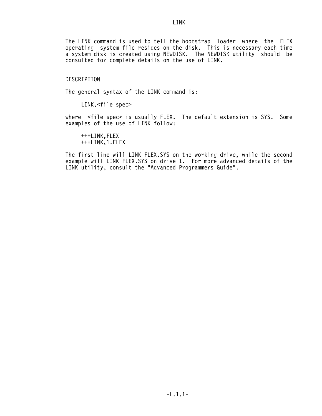The LINK command is used to tell the bootstrap loader where the FLEX operating system file resides on the disk. This is necessary each time a system disk is created using NEWDISK. The NEWDISK utility should be consulted for complete details on the use of LINK.

#### DESCRIPTION

The general syntax of the LINK command is:

LINK,<file spec>

where <file spec> is usually FLEX. The default extension is SYS. Some examples of the use of LINK follow:

 +++LINK,FLEX +++LINK,1.FLEX

The first line will LINK FLEX.SYS on the working drive, while the second example will LINK FLEX.SYS on drive 1. For more advanced details of the LINK utility, consult the "Advanced Programmers Guide".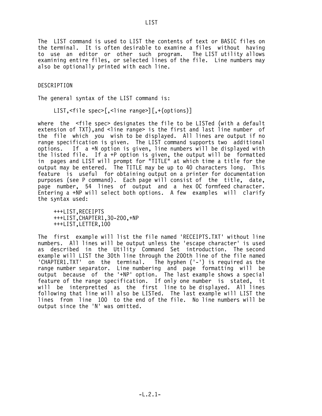The LIST command is used to LIST the contents of text or BASIC files on the terminal. It is often desirable to examine a files without having to use an editor or other such program. The LIST utility allows examining entire files, or selected lines of the file. Line numbers may also be optionally printed with each line.

DESCRIPTION

The general syntax of the LIST command is:

LIST,<file spec>[,<line range>][,+(options)]

where the <file spec> designates the file to be LISTed (with a default extension of TXT), and <line range> is the first and last line number of the file which you wish to be displayed. All lines are output if no range specification is given. The LIST command supports two additional options. If a +N option is given, line numbers will be displayed with the listed file. If a +P option is given, the output will be formatted in pages and LIST will prompt for "TITLE" at which time a title for the output may be entered. The TITLE may be up to 40 characters long. This feature is useful for obtaining output on a printer for documentation purposes (see P command). Each page will consist of the title, date, page number, 54 lines of output and a hex 0C formfeed character. Entering a +NP will select both options. A few examples will clarify the syntax used:

 +++LIST,RECEIPTS +++LIST,CHAPTER1,30-200,+NP +++LIST,LETTER,100

The first example will list the file named 'RECEIPTS.TXT' without line numbers. All lines will be output unless the 'escape character' is used as described in the Utility Command Set introduction. The second example will LIST the 30th line through the 200th line of the file named<br>'CHAPTER1.TXT' on the terminal. The hyphen ('-') is required as the The hyphen  $('-')$  is required as the range number separator. Line numbering and page formatting will be output because of the '+NP' option. The last example shows a special feature of the range specification. If only one number is stated, it will be interpretted as the first line to be displayed. All lines following that line will also be LISTed. The last example will LIST the lines from line 100 to the end of the file. No line numbers will be output since the 'N' was omitted.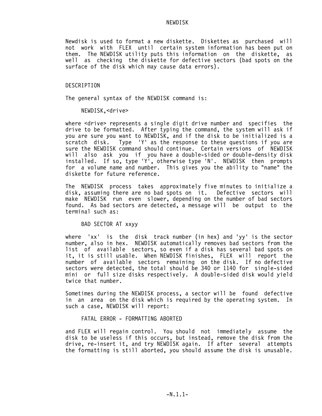#### NEWDISK

Newdisk is used to format a new diskette. Diskettes as purchased will not work with FLEX until certain system information has been put on them. The NEWDISK utility puts this information on the diskette, as well as checking the diskette for defective sectors (bad spots on the surface of the disk which may cause data errors).

#### DESCRIPTION

The general syntax of the NEWDISK command is:

NEWDISK,<drive>

where  $\le$  drive> represents a single digit drive number and specifies the drive to be formatted. After typing the command, the system will ask if you are sure you want to NEWDISK, and if the disk to be initialized is a scratch disk. Type 'Y' as the response to these questions if you are sure the NEWDISK command should continue. Certain versions of NEWDISK will also ask you if you have a double-sided or double-density disk installed. If so, type 'Y', otherwise type 'N'. NEWDISK then prompts for a volume name and number. This gives you the ability to "name" the diskette for future reference.

The NEWDISK process takes approximately five minutes to initialize a disk, assuming there are no bad spots on it. Defective sectors will make NEWDISK run even slower, depending on the number of bad sectors found. As bad sectors are detected, a message will be output to the terminal such as:

BAD SECTOR AT xxyy

where 'xx' is the disk track number (in hex) and 'yy' is the sector number, also in hex. NEWDISK automatically removes bad sectors from the list of available sectors, so even if a disk has several bad spots on it, it is still usable. When NEWDISK finishes, FLEX will report the number of available sectors remaining on the disk. If no defective sectors were detected, the total should be 340 or 1140 for single-sided mini or full size disks respectively. A double-sided disk would yield twice that number.

Sometimes during the NEWDISK process, a sector will be found defective in an area on the disk which is required by the operating system. In such a case, NEWDISK will report:

FATAL ERROR - FORMATTING ABORTED

and FLEX will regain control. You should not immediately assume the disk to be useless if this occurs, but instead, remove the disk from the drive, re-insert it, and try NEWDISK again. If after several attempts the formatting is still aborted, you should assume the disk is unusable.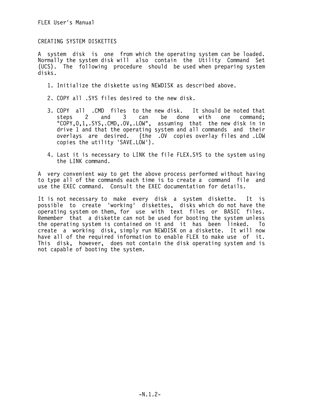# CREATING SYSTEM DISKETTES

A system disk is one from which the operating system can be loaded. Normally the system disk will also contain the Utility Command Set (UCS). The following procedure should be used when preparing system disks.

- 1. Initialize the diskette using NEWDISK as described above.
- 2. COPY all .SYS files desired to the new disk.
- 3. COPY all .CMD files to the new disk. It should be noted that steps 2 and 3 can be done with one command; "COPY,0,1,.SYS,.CMD,.OV,.LOW", assuming that the new disk in in drive 1 and that the operating system and all commands and their overlays are desired. (the .OV copies overlay files and .LOW copies the utility 'SAVE.LOW').
- 4. Last it is necessary to LINK the file FLEX.SYS to the system using the LINK command.

A very convenient way to get the above process performed without having to type all of the commands each time is to create a command file and use the EXEC command. Consult the EXEC documentation for details.

It is not necessary to make every disk a system diskette. It is possible to create 'working' diskettes, disks which do not have the operating system on them, for use with text files or BASIC files. Remember that a diskette can not be used for booting the system unless the operating system is contained on it and it has been linked. To create a working disk, simply run NEWDISK on a diskette. It will now have all of the required information to enable FLEX to make use of it. This disk, however, does not contain the disk operating system and is not capable of booting the system.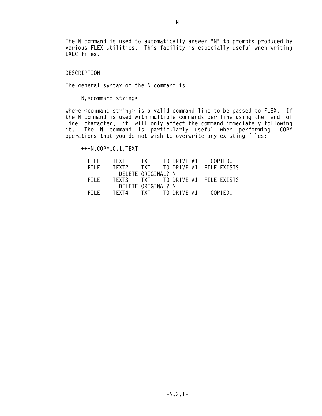The N command is used to automatically answer "N" to prompts produced by various FLEX utilities. This facility is especially useful wnen writing EXEC files.

### DESCRIPTION

The general syntax of the N command is:

N,<command string>

where <command string> is a valid command line to be passed to FLEX. If the N command is used with multiple commands per line using the end of line character, it will only affect the command immediately following it. The N command is particularly useful when performing COPY operations that you do not wish to overwrite any existing files:

+++N,COPY,0,1,TEXT

| FILF. | TFXT1                             | <b>TXT</b>                  | TO DRIVE #1 COPIED. |  |  |
|-------|-----------------------------------|-----------------------------|---------------------|--|--|
| FILF  | TFXT2                             | TXT TO DRIVE #1 FILE EXISTS |                     |  |  |
|       | DELETE ORIGINAL? N                |                             |                     |  |  |
| FILF. | TEXT3 TXT TO DRIVE #1 FILE EXISTS |                             |                     |  |  |
|       | DELETE ORIGINAL? N                |                             |                     |  |  |
| FILF. | TEXT4 TXT TO DRIVE #1 COPIED.     |                             |                     |  |  |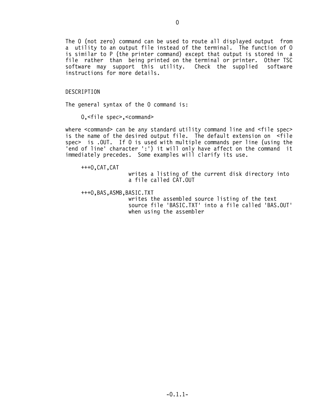The O (not zero) command can be used to route all displayed output from a utility to an output file instead of the terminal. The function of O is similar to P (the printer command) except that output is stored in a file rather than being printed on the terminal or printer. Other TSC software may support this utility. Check the supplied software instructions for more details.

#### DESCRIPTION

The general syntax of the O command is:

O,<file spec>,<command>

where <command> can be any standard utility command line and <file spec> is the name of the desired output file. The default extension on <file spec> is .OUT. If O is used with multiple commands per line (using the 'end of line' character ':') it will only have affect on the command it immediately precedes. Some examples will clarify its use.

+++O,CAT,CAT

 writes a listing of the current disk directory into a file called CAT.OUT

+++O,BAS,ASMB,BASIC.TXT

 writes the assembled source listing of the text source file 'BASIC.TXT' into a file called 'BAS.OUT' when using the assembler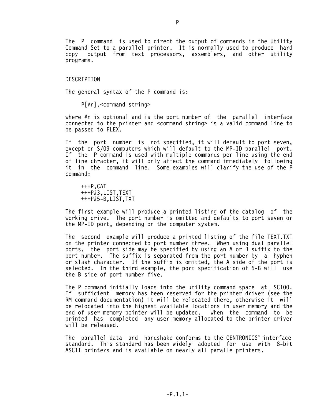The P command is used to direct the output of commands in the Utility Command Set to a parallel printer. It is normally used to produce hard copy output from text processors, assemblers, and other utility programs.

#### DESCRIPTION

The general syntax of the P command is:

P[#n],<command string>

where #n is optional and is the port number of the parallel interface connected to the printer and <command string> is a valid command line to be passed to FLEX.

If the port number is not specified, it will default to port seven, except on S/09 computers which will default to the MP-ID parallel port. If the P command is used with multiple commands per line using the end of line chracter, it will only affect the command immediately following it in the command line. Some examples will clarify the use of the P command:

 +++P,CAT +++P#3,LIST,TEXT +++P#5-B,LIST,TXT

The first example will produce a printed listing of the catalog of the working drive. The port number is omitted and defaults to port seven or the MP-ID port, depending on the computer system.

The second example will produce a printed listing of the file TEXT.TXT on the printer connected to port number three. When using dual parallel ports, the port side may be specified by using an A or B suffix to the port number. The suffix is separated from the port number by a hyphen or slash character. If the suffix is omitted, the A side of the port is selected. In the third example, the port specification of 5-B will use the B side of port number five.

The P command initially loads into the utility command space at \$C100. If sufficient memory has been reserved for the printer driver (see the RM command documentation) it will be relocated there, otherwise it will be relocated into the highest available locations in user memory and the end of user memory pointer will be updated. When the command to be printed has completed any user memory allocated to the printer driver will be released.

The parallel data and handshake conforms to the CENTRONICS® interface standard. This standard has been widely adopted for use with 8-bit ASCII printers and is available on nearly all paralle printers.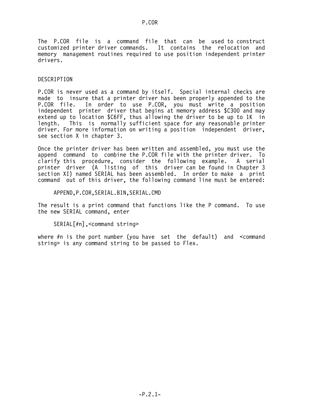The P.COR file is a command file that can be used to construct customized printer driver commands. It contains the relocation and memory management routines required to use position independent printer drivers.

## DESCRIPTION

P.COR is never used as a command by itself. Special internal checks are made to insure that a printer driver has been properly appended to the<br>P.COR file. In order to use P.COR, you must write a position In order to use P.COR, you must write a position independent printer driver that begins at memory address \$C300 and may extend up to location \$C6FF, thus allowing the driver to be up to 1K in length. This is normally sufficient space for any reasonable printer driver. For more information on writing a position independent driver, see section X in chapter 3.

Once the printer driver has been written and assembled, you must use the append command to combine the P.COR file with the printer driver. To clarify this procedure, consider the following example. A serial printer driver (A listing of this driver can be found in Chapter 3 section XI) named SERIAL has been assembled. In order to make a print command out of this driver, the following command line must be entered:

APPEND,P.COR,SERIAL.BIN,SERIAL.CMD

The result is a print command that functions like the P command. To use the new SERIAL command, enter

SERIAL[#n],<command string>

where #n is the port number (you have set the default) and <command string> is any command string to be passed to Flex.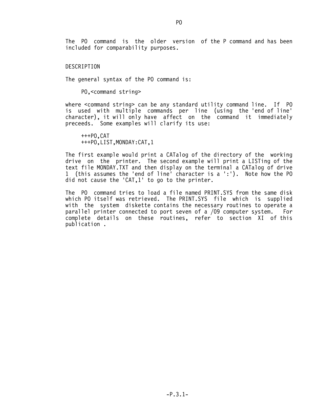The PO command is the older version of the P command and has been included for comparability purposes.

### DESCRIPTION

The general syntax of the PO command is:

PO,<command string>

where <command string> can be any standard utility command line. If PO is used with multiple commands per line (using the 'end of line' character), it will only have affect on the command it immediately preceeds. Some examples will clarify its use:

 +++PO,CAT +++PO,LIST,MONDAY:CAT,1

The first example would print a CATalog of the directory of the working drive on the printer. The second example will print a LISTing of the text file MONDAY.TXT and then display on the terminal a CATalog of drive 1 (this assumes the 'end of line' character is a ':'). Note how the PO did not cause the 'CAT,1' to go to the printer.

The PO command tries to load a file named PRINT.SYS from the same disk which PO itself was retrieved. The PRINT.SYS file which is supplied with the system diskette contains the necessary routines to operate a parallel printer connected to port seven of a /09 computer system. For complete details on these routines, refer to section XI of this publication .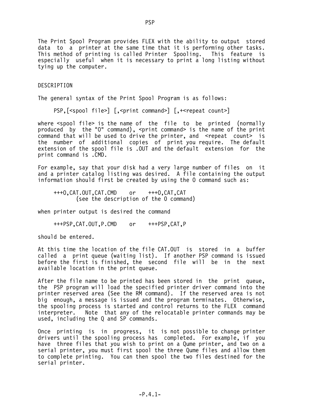The Print Spool Program provides FLEX with the ability to output stored data to a printer at the same time that it is performing other tasks. This method of printing is called Printer Spooling. This feature is especially useful when it is necessary to print a long listing without tying up the computer.

### DESCRIPTION

The general syntax of the Print Spool Program is as follows:

PSP,[<spool file>] [,<print command>] [,+<repeat count>]

where <spool file> is the name of the file to be printed (normally produced by the "O" command), <print command> is the name of the print command that will be used to drive the printer, and <repeat count> is the number of additional copies of print you require. The default extension of the spool file is .OUT and the default extension for the print command is .CMD.

For example, say that your disk had a very large number of files on it and a printer catalog listing was desired. A file containing the output information should first be created by using the 0 command such as:

 +++O,CAT.OUT,CAT.CMD or +++O,CAT,CAT (see the description of the 0 command)

when printer output is desired the command

+++PSP,CAT.OUT,P.CMD or +++PSP,CAT,P

should be entered.

At this time the location of the file CAT.OUT is stored in a buffer called a print queue (waiting list). If another PSP command is issued before the first is finished, the second file will be in the next available location in the print queue.

After the file name to be printed has been stored in the print queue, the PSP program will load the specified printer driver command into the printer reserved area (See the RM command). If the reserved area is not big enough, a message is issued and the program terminates. Otherwise, the spooling process is started and control returns to the FLEX command interpreter. Note that any of the relocatable printer commands may be used, including the Q and SP commands.

Once printing is in progress, it is not possible to change printer drivers until the spooling process has completed. For example, if you have three files that you wish to print on a Qume printer, and two on a serial printer, you must first spool the three Qume files and allow them to complete printing. You can then spool the two files destined for the serial printer.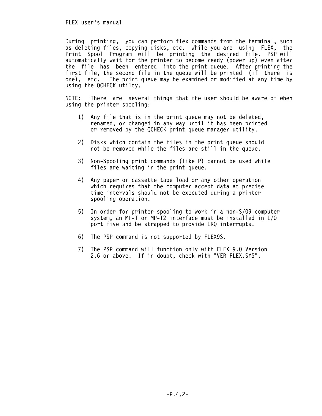FLEX user's manual

During printing, you can perform flex commands from the terminal, such as deleting files, copying disks, etc. While you are using FLEX, the Print Spool Program will be printing the desired file. PSP will automatically wait for the printer to become ready (power up) even after the file has been entered into the print queue. After printing the first file, the second file in the queue will be printed (if there is one), etc. The print queue may be examined or modified at any time by using the QCHECK utilty.

NOTE: There are several things that the user should be aware of when using the printer spooling:

- 1) Any file that is in the print queue may not be deleted, renamed, or changed in any way until it has been printed or removed by the QCHECK print queue manager utility.
- 2) Disks which contain the files in the print queue should not be removed while the files are still in the queue.
- 3) Non-Spooling print commands (like P) cannot be used while files are waiting in the print queue.
- 4) Any paper or cassette tape load or any other operation which requires that the computer accept data at precise time intervals should not be executed during a printer spooling operation.
- 5) In order for printer spooling to work in a non-S/09 computer system, an MP-T or MP-T2 interface must be installed in I/O port five and be strapped to provide IRQ interrupts.
- 6) The PSP command is not supported by FLEX9S.
- 7) The PSP command will function only with FLEX 9.0 Version 2.6 or above. If in doubt, check with "VER FLEX.SYS".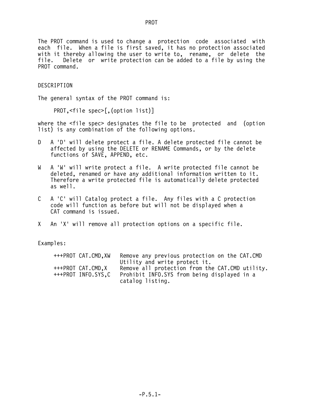The PROT command is used to change a protection code associated with each file. When a file is first saved, it has no protection associated with it thereby allowing the user to write to, rename, or delete the file.<br>File. Delete or write protection can be added to a file by using the Delete or write protection can be added to a file by using the PROT command.

## DESCRIPTION

The general syntax of the PROT command is:

PROT,<file spec>[,(option list)]

where the <file spec> designates the file to be protected and (option list) is any combination of the following options.

- D A 'D' will delete protect a file. A delete protected file cannot be affected by using the DELETE or RENAME Commands, or by the delete functions of SAVE, APPEND, etc.
- W A 'W' will write protect a file. A write protected file cannot be deleted, renamed or have any additional information written to it. Therefore a write protected file is automatically delete protected as well.
- C A 'C' will Catalog protect a file. Any files with a C protection code will function as before but will not be displayed when a CAT command is issued.
- X An 'X' will remove all protection options on a specific file.

Examples:

| +++PROT CAT.CMD.XW |                  | Remove any previous protection on the CAT.CMD   |  |
|--------------------|------------------|-------------------------------------------------|--|
|                    |                  | Utility and write protect it.                   |  |
| +++PROT CAT.CMD.X  |                  | Remove all protection from the CAT.CMD utility. |  |
| +++PROT INFO.SYS.C |                  | Prohibit INFO.SYS from being displayed in a     |  |
|                    | catalog listing. |                                                 |  |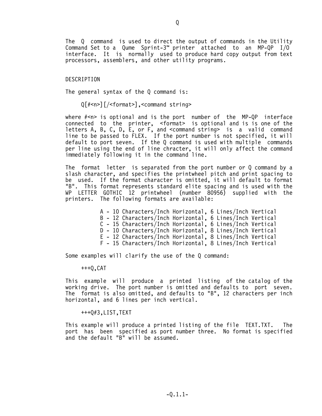The Q command is used to direct the output of commands in the Utility Command Set to a Qume Sprint-3™ printer attached to an MP-QP I/O interface. It is normally used to produce hard copy output from text processors, assemblers, and other utility programs.

### DESCRIPTION

The general syntax of the Q command is:

Q[#<n>][/<format>],<command string>

where  $#<sub>n</sub>$  is optional and is the port number of the MP-QP interface connected to the printer, <format> is optional and is is one of the letters A, B, C, D, E, or F, and <command string> is a valid command line to be passed to FLEX. If the port number is not specified, it will default to port seven. If the Q command is used with multiple commands per line using the end of line chracter, it will only affect the command immediately following it in the command line.

The format letter is separated from the port number or Q command by a slash character, and specifies the printwheel pitch and print spacing to be used. If the format character is omitted, it will default to format "B". This format represents standard elite spacing and is used with the WP LETTER GOTHIC 12 printwheel (number 80956) supplied with the printers. The following formats are available:

> A - 10 Characters/Inch Horizontal, 6 Lines/Inch Vertical B - 12 Characters/Inch Horizontal, 6 Lines/Inch Vertical C - 15 Characters/Inch Horizontal, 6 Lines/Inch Vertical D - 10 Characters/Inch Horizontal, 8 Lines/Inch Vertical E - 12 Characters/Inch Horizontal, 8 Lines/Inch Vertical F - 15 Characters/Inch Horizontal, 8 Lines/Inch Vertical

Some examples will clarify the use of the Q command:

+++Q,CAT

This example will produce a printed listing of the catalog of the working drive. The port number is omitted and defaults to port seven. The format is also omitted, and defaults to "B", 12 characters per inch horizontal, and 6 lines per inch vertical.

+++Q#3,LIST,TEXT

This example will produce a printed listing of the file TEXT.TXT. The port has been specified as port number three. No format is specified and the default "B" will be assumed.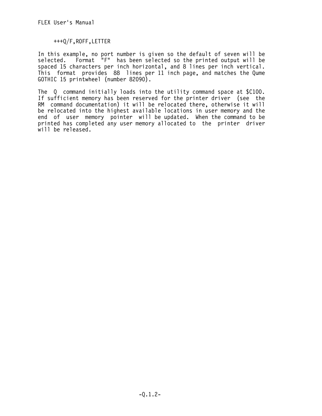+++Q/F,ROFF,LETTER

In this example, no port number is given so the default of seven will be selected. Format "F" has been selected so the printed output will be spaced 15 characters per inch horizontal, and 8 lines per inch vertical. This format provides 88 lines per 11 inch page, and matches the Qume GOTHIC 15 printwheel (number 82090).

The Q command initially loads into the utility command space at \$C100. If sufficient memory has been reserved for the printer driver (see the RM command documentation) it will be relocated there, otherwise it will be relocated into the highest available locations in user memory and the end of user memory pointer will be updated. When the command to be printed has completed any user memory allocated to the printer driver will be released.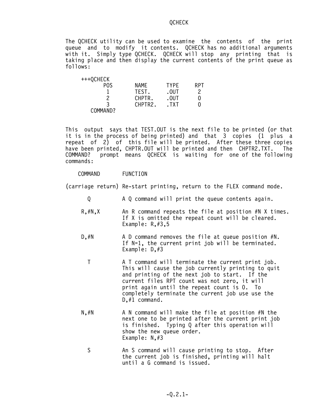### QCHECK

The QCHECK utility can be used to examine the contents of the print queue and to modify it contents. QCHECK has no additional arguments with it. Simply type QCHECK. QCHECK will stop any printing that is taking place and then display the current contents of the print queue as follows:

| +++QCHECK |         |                 |     |
|-----------|---------|-----------------|-----|
| POS       | NAME    | <b>TYPF</b>     | RPT |
|           | TEST.   | .0 <sub>U</sub> | 2   |
| າ         | CHPTR.  | .0 <sub>U</sub> | 0   |
|           | CHPTR2. | .TXT            | 0   |
| COMMAND?  |         |                 |     |

This output says that TEST.OUT is the next file to be printed (or that it is in the process of being printed) and that 3 copies (1 plus a repeat of 2) of this file will be printed. After these three copies have been printed, CHPTR.OUT will be printed and then CHPTR2.TXT. The COMMAND? prompt means QCHECK is waiting for one of the following commands:

### COMMAND FUNCTION

(carriage return) Re-start printing, return to the FLEX command mode.

- Q A Q command will print the queue contents again.
- $R, #N, X$  An R command repeats the file at position  $#N$  X times. If X is omitted the repeat count will be cleared. Example: R,#3,5
- D,#N A D command removes the file at queue position #N. If N=1, the current print job will be terminated. Example: D,#3
	- T A T command will terminate the current print job. This will cause the job currently printing to quit and printing of the next job to start. If the current files RPT count was not zero, it will print again until the repeat count is 0. To completely terminate the current job use use the D.#1 command.
- $N$ ,  $#N$  A N command will make the file at position  $#N$  the next one to be printed after the current print job is finished. Typing Q after this operation will show the new queue order. Example: N,#3
- S An S command will cause printing to stop. After the current job is finished, printing will halt until a G command is issued.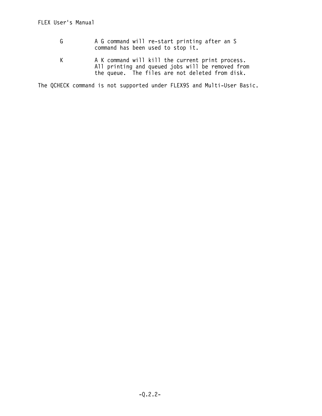- G A G command will re-start printing after an S command has been used to stop it.
- K A K command will kill the current print process. All printing and queued jobs will be removed from the queue. The files are not deleted from disk.

The QCHECK command is not supported under FLEX9S and Multi-User Basic.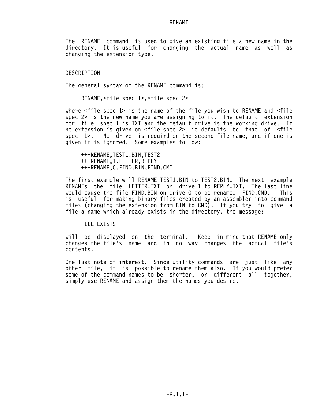#### RENAME

The RENAME command is used to give an existing file a new name in the directory. It is useful for changing the actual name as well as changing the extension type.

### DESCRIPTION

The general syntax of the RENAME command is:

RENAME,<file spec 1>,<file spec 2>

where <file spec 1> is the name of the file you wish to RENAME and <file spec 2> is the new name you are assigning to it. The default extension for file spec 1 is TXT and the default drive is the working drive. If no extension is given on <file spec 2>, it defaults to that of <file spec 1>. No drive is requird on the second file name, and if one is given it is ignored. Some examples follow:

 +++RENAME,TEST1.BIN,TEST2 +++RENAME,1.LETTER,REPLY +++RENAME,0.FIND.BIN,FIND.CMD

The first example will RENAME TEST1.BIN to TEST2.BIN. The next example RENAMEs the file LETTER.TXT on drive 1 to REPLY.TXT. The last line would cause the file FIND.BIN on drive 0 to be renamed FIND.CMD. This is useful for making binary files created by an assembler into command files (changing the extension from BIN to CMD). If you try to give a file a name which already exists in the directory, the message:

FILE EXISTS

will be displayed on the terminal. Keep in mind that RENAME only changes the file's name and in no way changes the actual file's contents.

One last note of interest. Since utility commands are just like any other file, it is possible to rename them also. If you would prefer some of the command names to be shorter, or different all together, simply use RENAME and assign them the names you desire.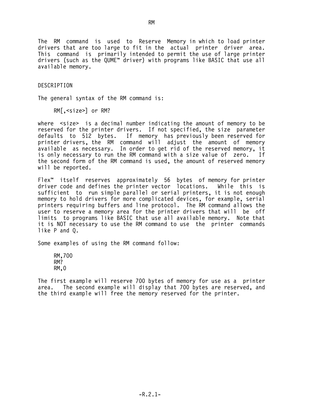The RM command is used to Reserve Memory in which to load printer drivers that are too large to fit in the actual printer driver area. This command is primarily intended to permit the use of large printer drivers (such as the QUME™ driver) with programs like BASIC that use all available memory.

## DESCRIPTION

The general syntax of the RM command is:

RM[,<size>] or RM?

where <size> is a decimal number indicating the amount of memory to be reserved for the printer drivers. If not specified, the size parameter defaults to 512 bytes. If memory has previously been reserved for printer drivers, the RM command will adjust the amount of memory available as necessary. In order to get rid of the reserved memory, it is only necessary to run the RM command with a size value of zero. If the second form of the RM command is used, the amount of reserved memory will be reported.

Flex™ itself reserves approximately 56 bytes of memory for printer driver code and defines the printer vector locations. While this is sufficient to run simple parallel or serial printers, it is not enough memory to hold drivers for more complicated devices, for example, serial printers requiring buffers and line protocol. The RM command allows the user to reserve a memory area for the printer drivers that will be off limits to programs like BASIC that use all available memory. Note that it is NOT necessary to use the RM command to use the printer commands like P and Q.

Some examples of using the RM command follow:

 RM,700 RM? RM,0

The first example will reserve 700 bytes of memory for use as a printer area. The second example will display that 700 bytes are reserved, and the third example will free the memory reserved for the printer.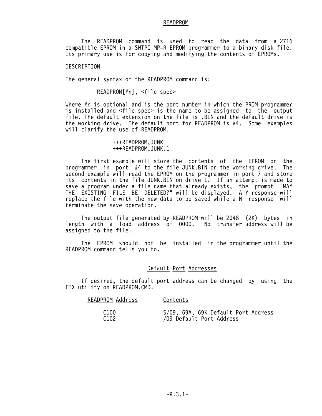#### READPROM

 The READPROM command is used to read the data from a 2716 compatible EPROM in a SWTPC MP-R EPROM programmer to a binary disk file. Its primary use is for copying and modifying the contents of EPROMs.

DESCRIPTION

The general syntax of the READPROM command is:

READPROM[#n], <file spec>

Where #n is optional and is the port number in which the PROM programmer is installed and <file spec> is the name to be assigned to the output file. The default extension on the file is .BIN and the default drive is the working drive. The default port for READPROM is #4. Some examples will clarify the use of READPROM.

> +++READPROM,JUNK +++READPROM,JUNK.1

 The first example will store the contents of the EPROM on the programmer in port #4 to the file JUNK.BIN on the working drive. The second example will read the EPROM on the programmer in port 7 and store its contents in the file JUNK.BIN on drive 1. If an attempt is made to save a program under a file name that already exists, the prompt "MAY THE EXISTING FILE BE DELETED?" will be displayed. A Y response will replace the file with the new data to be saved while a N response will terminate the save operation.

 The output file generated by READPROM will be 2048 (2K) bytes in length with a load address of 0000. No transfer address will be assigned to the file.

 The EPROM should not be installed in the programmer until the READPROM command tells you to.

## Default Port Addresses

 If desired, the default port address can be changed by using the FIX utility on READPROM.CMD.

| READPROM Address | Contents                            |
|------------------|-------------------------------------|
| C <sub>100</sub> | S/09, 69A, 69K Default Port Address |
| C <sub>102</sub> | /09 Default Port Address            |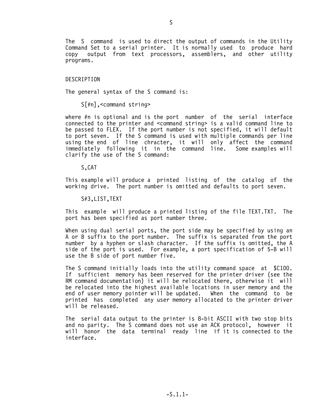The S command is used to direct the output of commands in the Utility Command Set to a serial printer. It is normally used to produce hard copy output from text processors, assemblers, and other utility programs.

#### DESCRIPTION

The general syntax of the S command is:

S[#n],<command string>

where #n is optional and is the port number of the serial interface connected to the printer and <command string> is a valid command line to be passed to FLEX. If the port number is not specified, it will default to port seven. If the S command is used with multiple commands per line using the end of line chracter, it will only affect the command immediately following it in the command line. Some examples will clarify the use of the S command:

S,CAT

This example will produce a printed listing of the catalog of the working drive. The port number is omitted and defaults to port seven.

S#3,LIST,TEXT

This example will produce a printed listing of the file TEXT.TXT. The port has been specified as port number three.

When using dual serial ports, the port side may be specified by using an A or B suffix to the port number. The suffix is separated from the port number by a hyphen or slash character. If the suffix is omitted, the A side of the port is used. For example, a port specification of 5-B will use the B side of port number five.

The S command initially loads into the utility command space at \$C100. If sufficient memory has been reserved for the printer driver (see the RM command documentation) it will be relocated there, otherwise it will be relocated into the highest available locations in user memory and the end of user memory pointer will be updated. When the command to be printed has completed any user memory allocated to the printer driver will be released.

The serial data output to the printer is 8-bit ASCII with two stop bits and no parity. The S command does not use an ACK protocol, however it will honor the data terminal ready line if it is connected to the interface.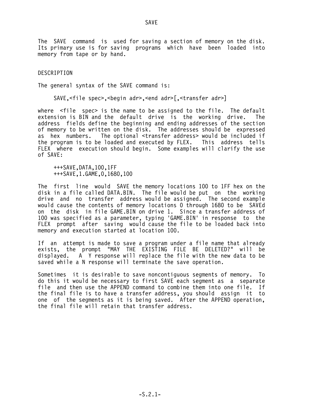The SAVE command is used for saving a section of memory on the disk. Its primary use is for saving programs which have been loaded into memory from tape or by hand.

DESCRIPTION

The general syntax of the SAVE command is:

SAVE,<file spec>,<begin adr>,<end adr>[,<transfer adr>]

where <file spec> is the name to be assigned to the file. The default extension is BIN and the default drive is the working drive. The address fields define the beginning and ending addresses of the section of memory to be written on the disk. The addresses should be expressed as hex numbers. The optional <transfer address> would be included if the program is to be loaded and executed by FLEX. This address tells FLEX where execution should begin. Some examples will clarify the use of SAVE:

 +++SAVE,DATA,100,1FF +++SAVE,1.GAME,0,1680,100

The first line would SAVE the memory locations 100 to 1FF hex on the disk in a file called DATA.BIN. The file would be put on the working drive and no transfer address would be assigned. The second example would cause the contents of memory locations 0 through 1680 to be SAVEd on the disk in file GAME.BIN on drive 1. Since a transfer address of 100 was specified as a parameter, typing 'GAME.BIN' in response to the FLEX prompt after saving would cause the file to be loaded back into memory and execution started at location 100.

If an attempt is made to save a program under a file name that already exists, the prompt "MAY THE EXISTING FILE BE DELETED?" will be displayed. A Y response will replace the file with the new data to be saved while a N response will terminate the save operation.

Sometimes it is desirable to save noncontiguous segments of memory. To do this it would be necessary to first SAVE each segment as a separate file and then use the APPEND command to combine them into one file. If the final file is to have a transfer address, you should assign it to one of the segments as it is being saved. After the APPEND operation, the final file will retain that transfer address.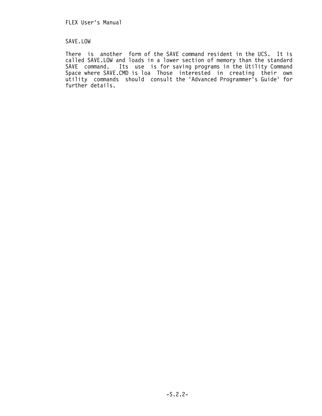# SAVE.LOW

There is another form of the SAVE command resident in the UCS. It is called SAVE.LOW and loads in a lower section of memory than the standard SAVE command. Its use is for saving programs in the Utility Command Space where SAVE.CMD is loa Those interested in creating their own utility commands should consult the 'Advanced Programmer's Guide' for further details.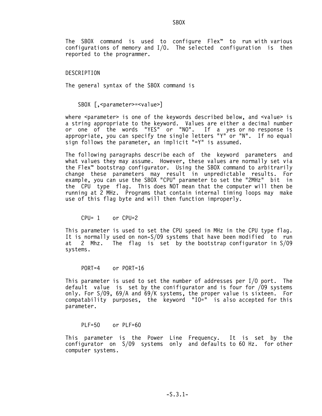SBOX SECTION AND STRUCK STRUCK

The SBOX command is used to configure Flex™ to run with various configurations of memory and I/O. The selected configuration is then reported to the programmer.

#### DESCRIPTION

The general syntax of the SBOX command is

SBOX [, <parameter>=<value>]

where <parameter> is one of the keywords described below, and <value> is a string appropriate to the keyword. Values are either a decimal number or one of the words "YES" or "NO". If a yes or no response is appropriate, you can specify tne single letters "Y" or "N". If no equal sign follows the parameter, an implicit "=Y" is assumed.

The following paragraphs describe each of the keyword parameters and what values they may assume. However, these values are normally set via the Flex™ bootstrap configurator. Using the SBOX command to arbitrarily change these parameters may result in unpredictable results. For example, you can use the SBOX "CPU" parameter to set the "2MHz" bit in the CPU type flag. This does NOT mean that the computer will then be running at 2 MHz. Programs that contain internal timing loops may make use of this flag byte and will then function improperly.

CPU= 1 or CPU=2

This parameter is used to set the CPU speed in MHz in the CPU type flag. It is normally used on non-S/09 systems that have been modified to run at 2 Mhz. The flag is set by the bootstrap configurator in S/09 systems.

PORT=4 or PORT=16

This parameter is used to set the number of addresses per I/O port. The default value is set by the conifigurator and is four for /09 systems only. For S/09, 69/A and 69/K systems, the proper value is sixteen. For compatability purposes, the keyword "IO=" is also accepted for this parameter.

 $PIF=50$  or  $PIF=60$ 

This parameter is the Power Line Frequency. It is set by the configurator on S/09 systems only and defaults to 60 Hz. for other computer systems.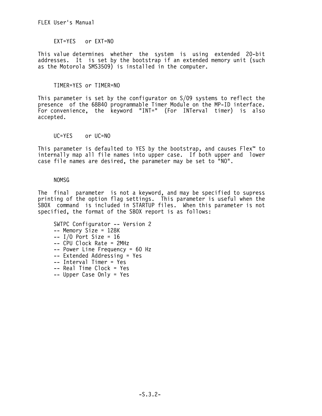EXT=YES or EXT=NO

This value determines whether the system is using extended 20-bit addresses. It is set by the bootstrap if an extended memory unit (such as the Motorola SMS3509) is installed in the computer.

TIMER=YES or TIMER=NO

This parameter is set by the configurator on S/09 systems to reflect the presence of the 68B40 programmable Timer Module on the MP-ID interface. For convenience, the keyword "INT=" (For INTerval timer) is also accepted.

UC=YES or UC=NO

This parameter is defaulted to YES by the bootstrap, and causes Flex™ to internally map all file names into upper case. If both upper and lower case file names are desired, the parameter may be set to "NO".

## NOMSG

The final parameter is not a keyword, and may be specified to supress printing of the option flag settings. This parameter is useful when the SBOX command is included in STARTUP files. When this parameter is not specified, the format of the SBOX report is as follows:

```
 SWTPC Configurator -- Version 2
 -- Memory Size = 128K
- I/O Port Size = 16
 -- CPU Clock Rate = 2MHz
 -- Power Line Frequency = 60 Hz
-- Extended Addressing = Yes
 -- Interval Timer = Yes
 -- Real Time Clock = Yes
 -- Upper Case Only = Yes
```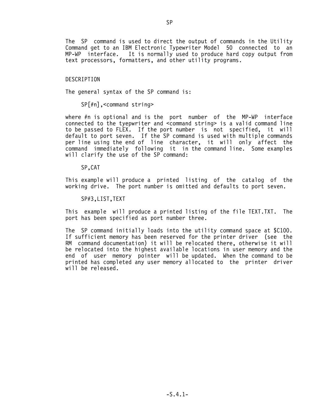The SP command is used to direct the output of commands in the Utility Command get to an IBM Electronic Typewriter Model 50 connected to an MP-WP interface. It is normally used to produce hard copy output from text processors, formatters, and other utility programs.

#### DESCRIPTION

The general syntax of the SP command is:

SP[#n],<command string>

where #n is optional and is the port number of the MP-WP interface connected to the tyepwriter and <command string> is a valid command line to be passed to FLEX. If the port number is not specified, it will default to port seven. If the SP command is used with multiple commands per line using the end of line character, it will only affect the command immediately following it in the command line. Some examples will clarify the use of the SP command:

SP,CAT

This example will produce a printed listing of the catalog of the working drive. The port number is omitted and defaults to port seven.

SP#3,LIST,TEXT

This example will produce a printed listing of the file TEXT.TXT. The port has been specified as port number three.

The SP command initially loads into the utility command space at \$C100. If sufficient memory has been reserved for the printer driver (see the RM command documentation) it will be relocated there, otherwise it will be relocated into the highest available locations in user memory and the end of user memory pointer will be updated. When the command to be printed has completed any user memory allocated to the printer driver will be released.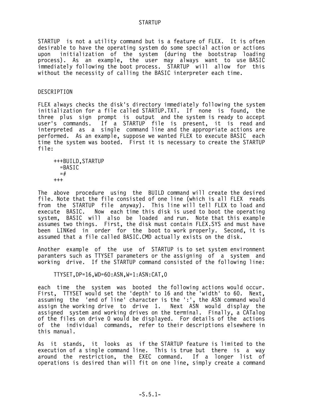### **STARTUP**

STARTUP is not a utility command but is a feature of FLEX. It is often desirable to have the operating system do some special action or actions upon initialization of the system (during the bootstrap loading process). As an example, the user may always want to use BASIC immediately following the boot process. STARTUP will allow for this without the necessity of calling the BASIC interpreter each time.

#### DESCRIPTION

FLEX always checks the disk's directory immediately following the system initialization for a file called STARTUP.TXT. If none is found, the three plus sign prompt is output and the system is ready to accept user's commands. If a STARTUP file is present, it is read and interpreted as a single command line and the appropriate actions are performed. As an example, suppose we wanted FLEX to execute BASIC each time the system was booted. First it is necessary to create the STARTUP file:

```
 +++BUILD,STARTUP
   =BASIC
  =#
 +++
```
The above procedure using the BUILD command will create the desired file. Note that the file consisted of one line (which is all FLEX reads from the STARTUP file anyway). This line will tell FLEX to load and execute BASIC. Now each time this disk is used to boot the operating system, BASIC will also be loaded and run. Note that this example assumes two things. First, the disk must contain FLEX.SYS and must have been LINKed in order for the boot to work properly. Second, it is assumed that a file called BASIC.CMD actually exists on the disk.

Another example of the use of STARTUP is to set system environment paramters such as TTYSET parameters or the assigning of a system and working drive. If the STARTUP command consisted of the following line:

TTYSET,DP=16,WD=60:ASN,W=1:ASN:CAT,0

each time the system was booted the following actions would occur. First, TTYSET would set the 'depth' to 16 and the 'width' to 60. Next, assuming the 'end of line' character is the ':', the ASN command would assign the working drive to drive 1. Next ASN would display the assigned system and working drives on the terminal. Finally, a CATalog of the files on drive 0 would be displayed. For details of the actions of the individual commands, refer to their descriptions elsewhere in this manual.

As it stands, it looks as if the STARTUP feature is limited to the execution of a single command line. This is true but there is a way around the restriction, the EXEC command. If a longer list of operations is desired than will fit on one line, simply create a command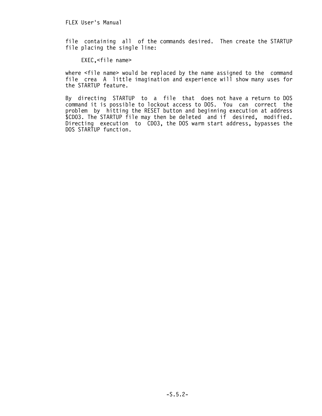FLEX User's Manual

file containing all of the commands desired. Then create the STARTUP file placing the single line:

EXEC,<file name>

where <file name> would be replaced by the name assigned to the command file crea A little imagination and experience will show many uses for the STARTUP feature.

By directing STARTUP to a file that does not have a return to DOS command it is possible to lockout access to DOS. You can correct the problem by hitting the RESET button and beginning execution at address \$CD03. The STARTUP file may then be deleted and if desired, modified. Directing execution to CD03, the DOS warm start address, bypasses the DOS STARTUP function.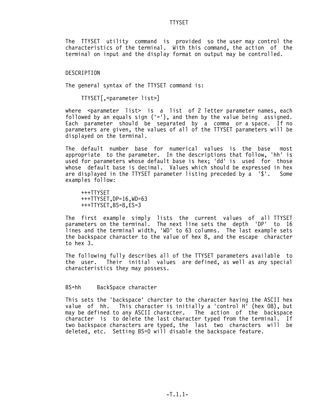#### TTYSET

The TTYSET utility command is provided so the user may control the characteristics of the terminal. With this command, the action of the terminal on input and the display format on output may be controlled.

DESCRIPTION

The general syntax of the TTYSET command is:

TTYSET[,<parameter list>]

where <parameter list> is a list of 2 letter parameter names, each followed by an equals sign  $('='))$ , and then by the value being assigned. Each parameter should be separated by a comma or a space. If no parameters are given, the values of all of the TTYSET parameters will be displayed on the terminal.

The default number base for numerical values is the base most appropriate to the parameter. In the descriptions that follow, 'hh' is used for parameters whose default base is hex; 'dd' is used for those whose default base is decimal. Values which should be expressed in hex are displayed in the TTYSET parameter listing preceded by a '\$'. Some examples follow:

 +++TTYSET +++TTYSET,DP=16,WD=63 +++TTYSET,BS=8,ES=3

The first example simply lists the current values of all TTYSET parameters on the terminal. The next line sets the depth 'DP' to 16 lines and the terminal width, 'WD' to 63 columns. The last example sets the backspace character to the value of hex 8, and the escape character to hex 3.

The following fully describes all of the TTYSET parameters available to the user. Their initial values are defined, as well as any special characteristics they may possess.

BS=hh BackSpace character

This sets the 'backspace' charcter to the character having the ASCII hex value of hh. This character is initially a 'control H' (hex 08), but may be defined to any ASCII character. The action of the backspace character is to delete the last character typed from the terminal. If two backspace characters are typed, the last two characters will be deleted, etc. Setting BS=0 will disable the backspace feature.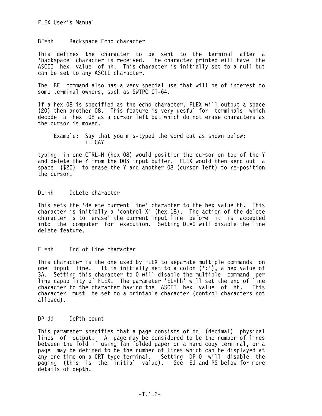BE=hh Backspace Echo character

This defines the character to be sent to the terminal after a 'backspace' character is received. The character printed will have the ASCII hex value of hh. This character is initially set to a null but can be set to any ASCII character.

The BE command also has a very special use that will be of interest to some terminal owners, such as SWTPC CT-64.

If a hex 08 is specified as the echo character, FLEX will output a space (20) then another 08. This feature is very uesful for terminals which decode a hex 08 as a cursor left but which do not erase characters as the cursor is moved.

 Example: Say that you mis-typed the word cat as shown below:  $+++CAY$ 

typing in one CTRL-H (hex 08) would position the cursor on top of the Y and delete the Y from the DOS input buffer. FLEX would then send out a space (\$20) to erase the Y and another 08 (cursor left) to re-position the cursor.

DL=hh DeLete character

This sets the 'delete current line' character to the hex value hh. This character is initially a 'control X' (hex 18). The action of the delete character is to 'erase' the current input line before it is accepted into the computer for execution. Setting DL=0 will disable the line delete feature.

EL=hh End of Line character

This character is the one used by FLEX to separate multiple commands on one input line. It is initially set to a colon (':'), a hex value of 3A. Setting this character to 0 will disable the multiple command per line capability of FLEX. The parameter 'EL=hh' will set the end of line character to the character having the ASCII hex value of hh. This character must be set to a printable character (control characters not allowed).

DP=dd DePth count

This parameter specifies that a page consists of dd (decimal) physical lines of output. A page may be considered to be the number of lines between the fold if using fan folded paper on a hard copy terminal, or a page may be defined to be the number of lines which can be displayed at any one time on a CRT type terminal. Setting DP=0 will disable the paging (this is the initial value). See EJ and PS below for more details of depth.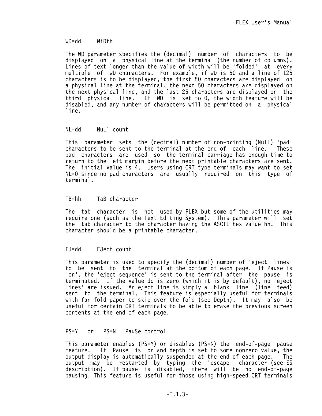## WD=dd WiDth

The WD parameter specifies the (decimal) number of characters to be displayed on a physical line at the terminal (the number of columns). Lines of text longer than the value of width will be 'folded' at every multiple of WD characters. For example, if WD is 50 and a line of 125 characters is to be displayed, the first 50 characters are displayed on a physical line at the terminal, the next 50 characters are displayed on the next physical line, and the last 25 characters are displayed on the third physical line. If WD is set to 0, the width feature will be disabled, and any number of characters will be permitted on a physical line.

## NL=dd NuLl count

This parameter sets the (decimal) number of non-printing (Null) 'pad' characters to be sent to the terminal at the end of each line. These pad characters are used so the terminal carriage has enough time to return to the left margin before the next printable characters are sent. The initial value is 4. Users using CRT type terminals may want to set NL=0 since no pad characters are usually required on this type of terminal.

## TB=hh TaB character

The tab character is not used by FLEX but some of the utilities may require one (such as the Text Editing System). This parameter will set the tab character to the character having the ASCII hex value hh. This character should be a printable character.

### EJ=dd EJect count

This parameter is used to specify the (decimal) number of 'eject lines' to be sent to the terminal at the bottom of each page. If Pause is 'on', the 'eject sequence' is sent to the terminal after the pause is terminated. If the value dd is zero (which it is by default), no 'eject lines' are issued. An eject line is simply a blank line (line feed) sent to the terminal. This feature is especially useful for terminals with fan fold paper to skip over the fold (see Depth). It may also be useful for certain CRT terminals to be able to erase the previous screen contents at the end of each page.

## PS=Y or PS=N PauSe control

This parameter enables (PS=Y) or disables (PS=N) the end-of-page pause feature. If Pause is on and depth is set to some nonzero value, the output display is automatically suspended at the end of each page. The output may be restarted by typing the 'escape' character (see ES description). If pause is disabled, there will be no end-of-page pausing. This feature is useful for those using high-speed CRT terminals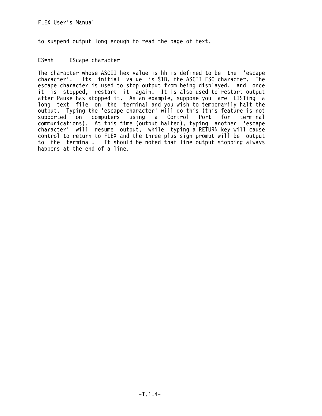to suspend output long enough to read the page of text.

## ES=hh EScape character

The character whose ASCII hex value is hh is defined to be the 'escape character'. Its initial value is \$1B, the ASCII ESC character. The escape character is used to stop output from being displayed, and once it is stopped, restart it again. It is also used to restart output after Pause has stopped it. As an example, suppose you are LISTing a long text file on the terminal and you wish to temporarily halt the output. Typing the 'escape character' will do this (this feature is not supported on computers using a Control Port for terminal communications). At this time (output halted), typing another 'escape character' will resume output, while typing a RETURN key will cause control to return to FLEX and the three plus sign prompt will be output to the terminal. It should be noted that line output stopping always happens at the end of a line.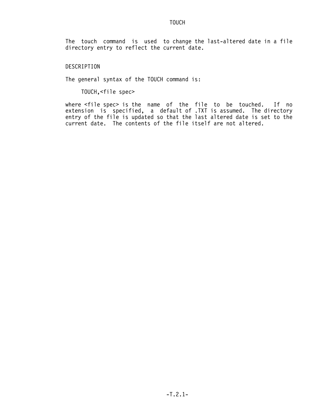### TOUCH

The touch command is used to change the last-altered date in a file directory entry to reflect the current date.

DESCRIPTION

The general syntax of the TOUCH command is:

TOUCH,<file spec>

where <file spec> is the name of the file to be touched. If no extension is specified, a default of .TXT is assumed. The directory entry of the file is updated so that the last altered date is set to the current date. The contents of the file itself are not altered.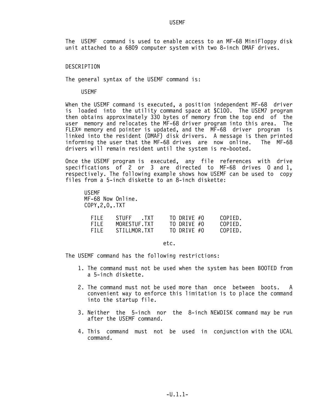## **USEMF**

The USEMF command is used to enable access to an MF-68 MiniFloppy disk unit attached to a 6809 computer system with two 8-inch DMAF drives.

### DESCRIPTION

The general syntax of the USEMF command is:

USEMF

When the USEMF command is executed, a position independent MF-68 driver is loaded into the utility command space at \$C100. The USEM7 program then obtains approximately 330 bytes of memory from the top end of the user memory and relocates the MF-68 driver program into this area. The FLEX® memory end pointer is updated, and the MF-68 driver program is linked into the resident (DMAF) disk drivers. A message is then printed informing the user that the MF-68 drives are now online. The MF-68 drivers will remain resident until the system is re-booted.

Once the USEMF program is executed, any file references with drive specifications of 2 or 3 are directed to MF-68 drives 0 and 1, respectively. The following example shows how USEMF can be used to copy files from a 5-inch diskette to an 8-inch diskette:

 USEMF MF-68 Now Online. COPY,2,0,.TXT

| FILF. | STUFF TXT    | TO DRIVE #0 | COPIED. |
|-------|--------------|-------------|---------|
| FILF. | MORESTUF.TXT | TO DRIVE #0 | COPIED. |
| FILF  | STILLMOR.TXT | TO DRIVE #0 | COPIED. |

etc.

The USEMF command has the following restrictions:

- 1. The command must not be used when the system has been BOOTED from a 5-inch diskette.
- 2. The command must not be used more than once between boots. A convenient way to enforce this limitation is to place the command into the startup file.
- 3. Neither the 5-inch nor the 8-inch NEWDISK command may be run after the USEMF command.
- 4. This command must not be used in conjunction with the UCAL command.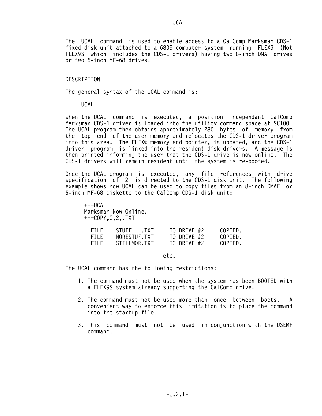The UCAL command is used to enable access to a CalComp Marksman CDS-1 fixed disk unit attached to a 6809 computer system running FLEX9 (Not FLEX9S which includes the CDS-1 drivers) having two 8-inch DMAF drives or two 5-inch MF-68 drives.

#### DESCRIPTION

The general syntax of the UCAL command is:

#### UCAL

When the UCAL command is executed, a position independant CalComp Marksman CDS-1 driver is loaded into the utility command space at \$C100. The UCAL program then obtains approximately 280 bytes of memory from the top end of the user memory and relocates the CDS-1 driver program into this area. The FLEX® memory end pointer, is updated, and the CDS-1 driver program is linked into the resident disk drivers. A message is then printed informing the user that the CDS-1 drive is now online. The CDS-1 drivers will remain resident until the system is re-booted.

Once the UCAL program is executed, any file references with drive specification of 2 is directed to the CDS-1 disk unit. The following example shows how UCAL can be used to copy files from an 8-inch DMAF or 5-inch MF-68 diskette to the CalComp CDS-1 disk unit:

 $+++UCA$  Marksman Now Online. +++COPY,0,2,.TXT

| FILE. | STUFF TXT    | TO DRIVE #2 | COPIED. |
|-------|--------------|-------------|---------|
| FILF. | MORESTUF.TXT | TO DRIVE #2 | COPIED. |
| FILE. | STILLMOR.TXT | TO DRIVE #2 | COPIED. |

etc.

The UCAL command has the following restrictions:

- 1. The command must not be used when the system has been BOOTED with a FLEX9S system already supporting the CalComp drive.
- 2. The command must not be used more than once between boots. A convenient way to enforce this limitation is to place the command into the startup file.
- 3. This command must not be used in conjunction with the USEMF command.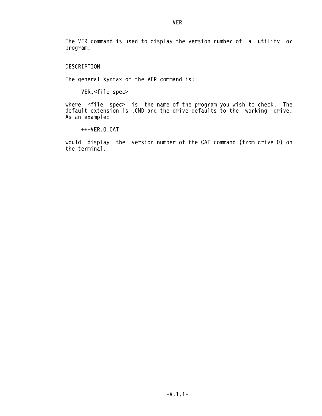The VER command is used to display the version number of a utility or program.

DESCRIPTION

The general syntax of the VER command is:

VER,<file spec>

where <file spec> is the name of the program you wish to check. The default extension is .CMD and the drive defaults to the working drive. As an example:

+++VER,0.CAT

would display the version number of the CAT command (from drive 0) on the terminal.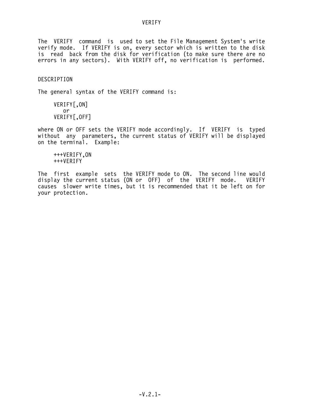The VERIFY command is used to set the File Management System's write verify mode. If VERIFY is on, every sector which is written to the disk is read back from the disk for verification (to make sure there are no errors in any sectors). With VERIFY off, no verification is performed.

DESCRIPTION

The general syntax of the VERIFY command is:

 VERIFY[,ON] or VERIFY[,OFF]

where ON or OFF sets the VERIFY mode accordingly. If VERIFY is typed without any parameters, the current status of VERIFY will be displayed on the terminal. Example:

 +++VERIFY,ON +++VERIFY

The first example sets the VERIFY mode to ON. The second line would display the current status (ON or OFF) of the VERIFY mode. VERIFY causes slower write times, but it is recommended that it be left on for your protection.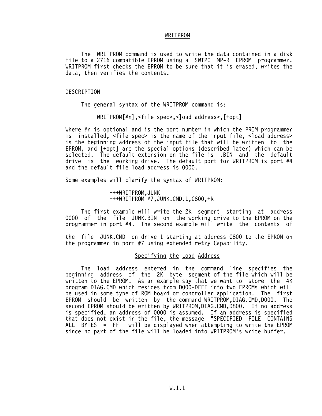#### WRITPROM

 The WRITPROM command is used to write the data contained in a disk file to a 2716 compatible EPROM using a SWTPC MP-R EPROM programmer. WRITPROM first checks the EPROM to be sure that it is erased, writes the data, then verifies the contents.

#### DESCRIPTION

The general syntax of the WRITPROM command is:

WRITPROM[#n],<file spec>,<]oad address>,[+opt]

Where #n is optional and is the port number in which the PROM programmer is installed, <file spec> is the name of the input file, <load address> is the beginning address of the input file that will be written to the EPROM, and [+opt] are the special options (described later) which can be selected. The default extension on the file is .BIN and the default drive is the working drive. The default port for WRITPROM is port #4 and the default file load address is 0000.

Some examples will clarify the syntax of WRITPROM:

 +++WRITPROM,JUNK +++WRITPROM #7,JUNK.CMD.1,C800,+R

 The first example will write the 2K segment starting at address 0000 of the file JUNK.BIN on the working drive to the EPROM on the programmer in port #4. The second example will write the contents of

the file JUNK.CMD on drive 1 starting at address C800 to the EPROM on the programmer in port #7 using extended retry Capability.

## Specifying the Load Address

 The load address entered in the command line specifies the beginning address of the 2K byte segment of the file which will be written to the EPROM. As an example say that we want to store the 4K program DIAG.CMD which resides from D000-DFFF into two EPROMs which will be used in some type of ROM board or controller application. The first EPROM should be written by the command WRITPROM,DIAG.CMD,D000. The second EPROM should be written by WRITPROM,DIAG.CMD,D800. If no address is specified, an address of 0000 is assumed. If an address is specified that does not exist in the file, the message "SPECIFIED FILE CONTAINS ALL BYTES = FF" will be displayed when attempting to write the EPROM since no part of the file will be loaded into WRITPROM's write buffer.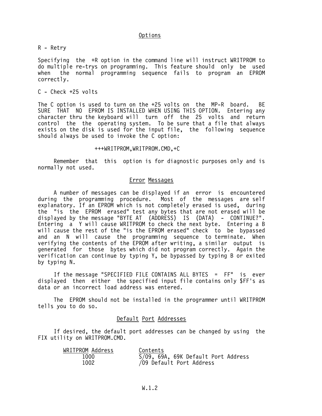## Options

R - Retry

Specifying the +R option in the command line will instruct WRITPROM to do multiple re-trys on programming. This feature should only be used<br>when the normal programming sequence fails to program an EPROM when the normal programming sequence fails to program an EPROM correctly.

### $C -$  Check  $+25$  volts

The C option is used to turn on the +25 volts on the MP-R board. BE SURE THAT NO EPROM IS INSTALLED WHEN USING THIS OPTION. Entering any character thru the keyboard will turn off the 25 volts and return control the the operating system. To be sure that a file that always exists on the disk is used for the input file, the following sequence should always be used to invoke the C option:

#### +++WRITPROM,WRITPROM.CMD,+C

 Remember that this option is for diagnostic purposes only and is normally not used.

### Error Messages

 A number of messages can be displayed if an error is encountered during the programming procedure. Most of the messages are self explanatory. If an EPROM which is not completely erased is used, during the "is the EPROM erased" test any bytes that are not erased will be displayed by the message "BYTE AT (ADDRESS) IS (DATA) - CONTINUE?". Entering a Y will cause WRITPROM to check the next byte. Entering a B will cause the rest of the "is the EPROM erased" check to be bypassed and an N will cause the programming sequence to terminate. When verifying the contents of the EPROM after writing, a similar output is generated for those bytes which did not program correctly. Again the verification can continue by typing Y, be bypassed by typing B or exited by typing N.

 If the message "SPECIFIED FILE CONTAINS ALL BYTES = FF" is ever displayed then either the specified input file contains only \$FF's as data or an incorrect load address was entered.

 The EPROM should not be installed in the programmer until WRITPROM tells you to do so.

## Default Port Addresses

 If desired, the default port addresses can be changed by using the FIX utility on WRITPROM.CMD.

| WRITPROM Address | Contents                            |
|------------------|-------------------------------------|
| 1000             | S/09, 69A, 69K Default Port Address |
| 1002             | /09 Default Port Address            |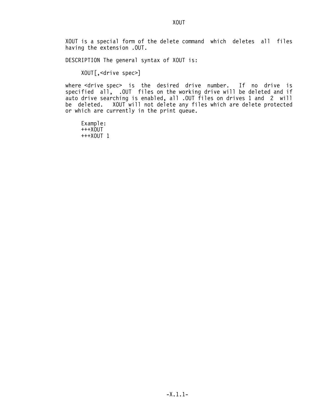XOUT is a special form of the delete command which deletes all files having the extension .OUT.

DESCRIPTION The general syntax of XOUT is:

XOUT[,<drive spec>]

where <drive spec> is the desired drive number. If no drive is specified all, .OUT files on the working drive will be deleted and if auto drive searching is enabled, all .OUT files on drives 1 and 2 will be deleted. XOUT will not delete any files which are delete protected or which are currently in the print queue.

 Example: +++XOUT +++XOUT 1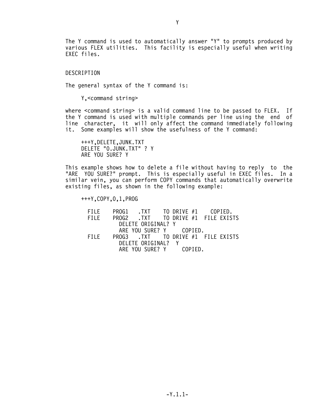The Y command is used to automatically answer "Y" to prompts produced by various FLEX utilities. This facility is especially useful when writing EXEC files.

DESCRIPTION

The general syntax of the Y command is:

Y,<command string>

where <command string> is a valid command line to be passed to FLEX. If the Y command is used with multiple commands per line using the end of line character, it will only affect the command immediately following it. Some examples will show the usefulness of the Y command:

 +++Y,DELETE,JUNK.TXT DELETE "0.JUNK.TXT" ? Y ARE YOU SURE? Y

This example shows how to delete a file without having to reply to the "ARE YOU SURE?" prompt. This is especially useful in EXEC files. In a similar vein, you can perform COPY commands that automatically overwrite existing files, as shown in the following example:

+++Y,COPY,0,1,PROG

FILE PROG1 .TXT TO DRIVE #1 COPIED.<br>FILE PROG2 .TXT TO DRIVE #1 FILE FXIS PROG2 .TXT TO DRIVE #1 FILE EXISTS DELETE ORIGINAL? Y ARE YOU SURE? Y COPIED. TO DRIVE #1 FILE EXISTS DELETE ORIGINAL? Y ARE YOU SURE? Y COPIED.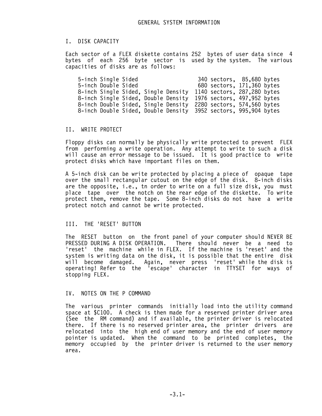## I. DISK CAPACITY

Each sector of a FLEX diskette contains 252 bytes of user data since 4 bytes of each 256 byte sector is used by the system. The various capacities of disks are as follows:

 5-inch Single Sided 340 sectors, 85,680 bytes 680 sectors, 171,360 bytes 8-inch Single Sided, Single Density 1140 sectors, 287,280 bytes 8-inch Single Sided, Double Density 1976 sectors, 497,952 bytes 8-inch Double Sided, Single Density 2280 sectors, 574,560 bytes 8-inch Double Sided, Double Density 3952 sectors, 995,904 bytes

## II. WRITE PROTECT

Floppy disks can normally be physically write protected to prevent FLEX from performing a write operation. Any attempt to write to such a disk will cause an error message to be issued. It is good practice to write protect disks which have important files on them.

A 5-inch disk can be write protected by placing a piece of opaque tape over the small rectangular cutout on the edge of the disk. 8-inch disks are the opposite, i.e., tn order to write on a full size disk, you must place tape over the notch on the rear edge of the diskette. To write protect them, remove the tape. Some 8-inch disks do not have a write protect notch and cannot be write protected.

### III. THE 'RESET' BUTTON

The RESET button on the front panel of your computer should NEVER BE PRESSED DURING A DISK OPERATION. There should never be a need to 'reset' the machine while in FLEX. If the machine is 'reset' and the system is writing data on the disk, it is possible that the entire disk will become damaged. Again, never press 'reset' while the disk is operating! Refer to the 'escape' character in TTYSET for ways of stopping FLEX.

#### IV. NOTES ON THE P COMMAND

The various printer commands initially load into the utility command space at \$C100. A check is then made for a reserved printer driver area (See the RM command) and if available, the printer driver is relocated there. If there is no reserved printer area, the printer drivers are relocated into the high end of user memory and the end of user memory pointer is updated. When the command to be printed completes, the memory occupied by the printer driver is returned to the user memory area.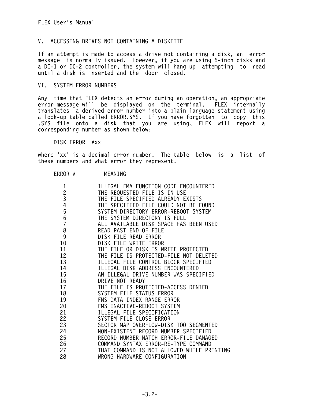# V. ACCESSING DRIVES NOT CONTAINING A DISKETTE

If an attempt is made to access a drive not containing a disk, an error message is normally issued. However, if you are using 5-inch disks and a DC-1 or DC-2 controller, the system will hang up attempting to read until a disk is inserted and the door closed.

## VI. SYSTEM ERROR NUMBERS

Any time that FLEX detects an error during an operation, an appropriate error message will be displayed on the terminal. FLEX internally translates a derived error number into a plain language statement using a look-up table called ERROR.SYS. If you have forgotten to copy this .SYS file onto a disk that you are using, FLEX will report a corresponding number as shown below:

DISK ERROR #xx

where 'xx' is a decimal error number. The table below is a list of these numbers and what error they represent.

## ERROR # MEANING

| $\mathbf 1$    | ILLEGAL FMA FUNCTION CODE ENCOUNTERED      |
|----------------|--------------------------------------------|
|                | THE REQUESTED FILE IS IN USE               |
| $\frac{2}{3}$  | THE FILE SPECIFIED ALREADY EXISTS          |
| 4              | THE SPECIFIED FILE COULD NOT BE FOUND      |
| 5              | SYSTEM DIRECTORY ERROR-REBOOT SYSTEM       |
| 6              | THE SYSTEM DIRECTORY IS FULL               |
| $\overline{7}$ | ALL AVAILABLE DISK SPACE HAS BEEN USED     |
| 8              | READ PAST END OF FILE                      |
| 9              | DISK FILE READ ERROR                       |
| 10             | DISK FILE WRITE ERROR                      |
| 11             | THE FILE OR DISK IS WRITE PROTECTED        |
| 12             | THE FILE IS PROTECTED-FILE NOT DELETED     |
| 13             | ILLEGAL FILE CONTROL BLOCK SPECIFIED       |
| 14             | ILLEGAL DISK ADDRESS ENCOUNTERED           |
| 15             | AN ILLEGAL DRIVE NUMBER WAS SPECIFIED      |
| 16             | DRIVE NOT READY                            |
| 17             | THE FILE IS PROTECTED-ACCESS DENIED        |
| 18             | SYSTEM FILE STATUS ERROR                   |
| 19             | FMS DATA INDEX RANGE ERROR                 |
| 20             | FMS INACTIVE-REBOOT SYSTEM                 |
| 21             | ILLEGAL FILE SPECIFICATION                 |
| 22             | SYSTEM FILE CLOSE ERROR                    |
| 23             | SECTOR MAP OVERFLOW-DISK TOO SEGMENTED     |
| 24             | NON-EXISTENT RECORD NUMBER SPECIFIED       |
| 25             | RECORD NUMBER MATCH ERROR-FILE DAMAGED     |
| 26             | COMMAND SYNTAX ERROR-RE-TYPE COMMAND       |
| 27             | THAT COMMAND IS NOT ALLOWED WHILE PRINTING |
| 28             | WRONG HARDWARE CONFIGURATION               |
|                |                                            |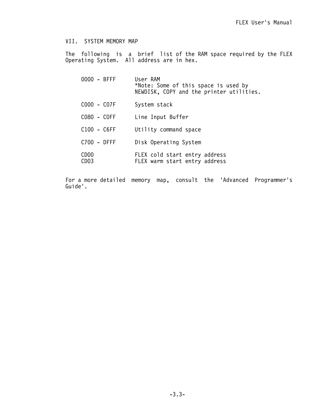## VII. SYSTEM MEMORY MAP

The following is a brief list of the RAM space required by the FLEX Operating System. All address are in hex.

| $0000 - BFFF$                        | User RAM<br>*Note: Some of this space is used by<br>NEWDISK, COPY and the printer utilities. |
|--------------------------------------|----------------------------------------------------------------------------------------------|
| COOO - CO7F                          | System stack                                                                                 |
| C080 - COFF                          | Line Input Buffer                                                                            |
| C100 - C6FF                          | Utility command space                                                                        |
| $C700 - DFFF$                        | Disk Operating System                                                                        |
| CD <sub>00</sub><br>CD <sub>03</sub> | FLEX cold start entry address<br>FLEX warm start entry address                               |

For a more detailed memory map, consult the 'Advanced Programmer's Guide'.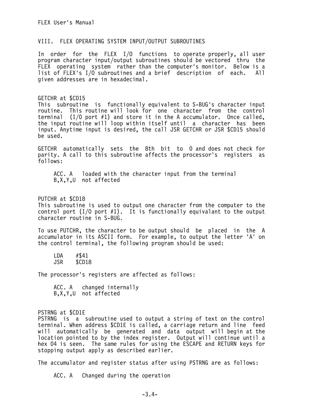### VIII. FLEX OPERATING SYSTEM INPUT/OUTPUT SUBROUTINES

In order for the FLEX I/O functions to operate properly, all user program character input/output subroutines should be vectored thru the FLEX operating system rather than the computer's monitor. Below is a list of FLEX's I/O subroutines and a brief description of each. All given addresses are in hexadecimal.

GETCHR at \$CD15 This subroutine is functionally equivalent to S-BUG's character input routine. This routine will look for one character from the control terminal (I/0 port #1) and store it in the A accumulator. Once called, the input routine will loop within itself until a character has been input. Anytime input is desired, the call JSR GETCHR or JSR \$CD15 should be used.

GETCHR automatically sets the 8th bit to 0 and does not check for parity. A call to this subroutine affects the processor's registers as follows:

 ACC. A loaded with the character input from the terminal B,X,Y,U not affected

PUTCHR at \$CD18 This subroutine is used to output one character from the computer to the control port  $(I/O$  port  $#1$ ). It is functionally equivalant to the output character routine in S-BUG.

To use PUTCHR, the character to be output should be placed in the A accumulator in its ASCII form. For example, to output the letter 'A' on the control terminal, the following program should be used:

 LDA #\$41 JSR \$CD18

The processor's registers are affected as follows:

 ACC. A changed internally B,X,Y,U not affected

PSTRNG at \$CD1E

PSTRNG is a subroutine used to output a string of text on the control terminal. When address \$CD1E is called, a carriage return and line feed will automatically be generated and data output will begin at the location pointed to by the index register. Output will continue until a hex 04 is seen. The same rules for using the ESCAPE and RETURN keys for stopping output apply as described earlier.

The accumulator and register status after using PSTRNG are as follows:

ACC. A Changed during the operation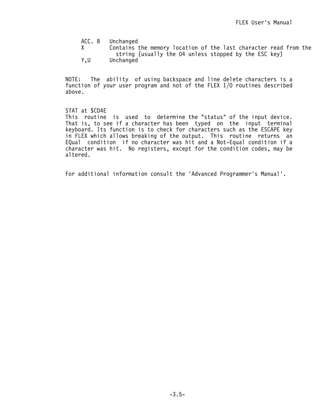ACC. B Unchanged<br>X Contains t

- Contains the memory location of the last character read from the string (usually the 04 unless stopped by the ESC key)<br>Y.U Unchanged
- Unchanged

NOTE: The ability of using backspace and line delete characters is a function of your user program and not of the FLEX I/O routines described above.

## STAT at \$CD4E

This routine is used to determine the "status" of the input device. That is, to see if a character has been typed on the input terminal keyboard. Its function is to check for characters such as the ESCAPE key in FLEX which allows breaking of the output. This routine returns an EQual condition if no character was hit and a Not-Equal condition if a character was hit. No registers, except for the condition codes, may be altered.

For additional information consult the 'Advanced Programmer's Manual'.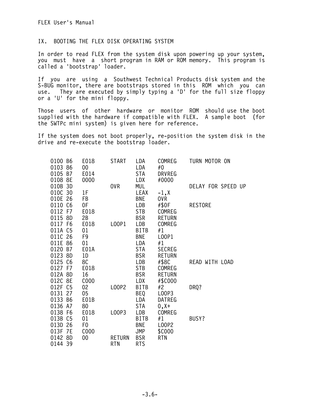# IX. BOOTING THE FLEX DISK OPERATING SYSTEM

In order to read FLEX from the system disk upon powering up your system, you must have a short program in RAM or ROM memory. This program is called a 'bootstrap' loader.

If you are using a Southwest Technical Products disk system and the S-BUG monitor, there are bootstraps stored in this ROM which you can use. They are executed by simply typing a 'D' for the full size floppy or a 'U' for the mini floppy.

Those users of other hardware or monitor ROM should use the boot supplied with the hardware if compatible with FLEX. A sample boot (for the SWTPc mini system) is given here for reference.

If the system does not boot properly, re-position the system disk in the drive and re-execute the bootstrap loader.

| 0100 B6    | E018           | <b>START</b>  | LDA         | COMREG        | TURN MOTOR ON      |
|------------|----------------|---------------|-------------|---------------|--------------------|
| 0103 86    | 00             |               | LDA         | #0            |                    |
| 0105 B7    | E014           |               | STA         | <b>DRVREG</b> |                    |
| 0108 8E    | 0000           |               | LDX         | #0000         |                    |
| 010B 3D    |                | 0VR           | MUL         |               | DELAY FOR SPEED UP |
| 010C 30    | 1F             |               | <b>LEAX</b> | $-1, x$       |                    |
| 010E 26    | FB             |               | BNE         | 0VR           |                    |
| 0110 C6    | 0F             |               | LDB         | #\$0F         | <b>RESTORE</b>     |
| 0112 F7    | E018           |               | STB         | <b>COMREG</b> |                    |
| 0115 8D    | 2B             |               | <b>BSR</b>  | <b>RETURN</b> |                    |
| 0117 F6    | E018           | L00P1         | LDB         | COMREG        |                    |
| 011A C5    | 01             |               | BITB        | #1            |                    |
| 011C 26    | F9             |               | <b>BNE</b>  | L00P1         |                    |
| 011E 86    | 01             |               | LDA         | #1            |                    |
| 0120 B7    | E01A           |               | <b>STA</b>  | <b>SECREG</b> |                    |
| 0123 8D    | 1D             |               | <b>BSR</b>  | <b>RETURN</b> |                    |
| 0125 C6    | 8C             |               | LDB         | #\$8C         | READ WITH LOAD     |
| 0127 F7    | E018           |               | <b>STB</b>  | COMREG        |                    |
| 012A 8D    | 16             |               | <b>BSR</b>  | <b>RETURN</b> |                    |
| 012C 8E    | C000           |               | LDX         | #\$C000       |                    |
| 012F C5    | 02             | <b>LOOP2</b>  | <b>BITB</b> | #2            | DRQ?               |
| 0131 27    | 05             |               | BEQ         | L00P3         |                    |
| 0133 B6    | E01B           |               | LDA         | <b>DATREG</b> |                    |
| 0136 A7    | 80             |               | STA         | $0, X+$       |                    |
| 0138 F6    | E018           | L00P3         | LDB         | COMREG        |                    |
| 013B C5    | 01             |               | <b>BITB</b> | #1            | BUSY?              |
| 013D 26    | F <sub>0</sub> |               | <b>BNE</b>  | L00P2         |                    |
| 013F<br>7E | C000           |               | <b>JMP</b>  | \$C000        |                    |
| 0142 8D    | 00             | <b>RETURN</b> | <b>BSR</b>  | <b>RTN</b>    |                    |
| 0144 39    |                | <b>RTN</b>    | <b>RTS</b>  |               |                    |
|            |                |               |             |               |                    |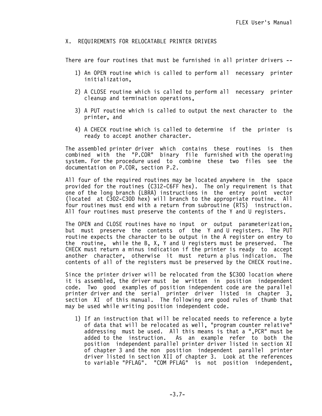## X. REQUIREMENTS FOR RELOCATABLE PRINTER DRIVERS

There are four routines that must be furnished in all printer drivers --

- 1) An OPEN routine which is called to perform all necessary printer initialization,
- 2) A CLOSE routine which is called to perform all necessary printer cleanup and termination operations,
- 3) A PUT routine which is called to output the next character to the printer, and
- 4) A CHECK routine which is called to determine if the printer is ready to accept another character.

The assembled printer driver which contains these routines is then combined with the "P.COR" binary file furnished with the operating system. For the procedure used to combine these two files see the documentation on P.COR, section P.2.

All four of the required routines may be located anywhere in the space provided for the routines (C312-C6FF hex). The only requirement is that one of the long branch (LBRA) instructions in the entry point vector (located at C302-C30D hex) will branch to the appropriate routine. All four routines must end with a return from subroutine (RTS) instruction. All four routines must preserve the contents of the Y and U registers.

The OPEN and CLOSE routines have no input or output parameterization, but must preserve the contents of the Y and U registers. The PUT routine expects the character to be output in the A register on entry to the routine, while the B, X, Y and U registers must be preserved. The CHECK must return a minus indication if the printer is ready to accept another character, otherwise it must return a plus indication. The contents of all of the registers must be preserved by the CHECK routine.

Since the printer driver will be relocated from the \$C300 location where it is assembled, the driver must be written in position independent code. Two good examples of position independent code are the parallel printer driver and the serial printer driver listed in chapter 3, section XI of this manual. The following are good rules of thumb that may be used while writing position independent code.

 1) If an instruction that will be relocated needs to reference a byte of data that will be relocated as well, "program counter relative" addressing must be used. All this means is that a ",PCR" must be added to the instruction. As an example refer to both the position independent parallel printer driver listed in section XI of chapter 3 and the non position independent parallel printer driver listed in section XII of chapter 3. Look at the references to variable "PFLAG". "COM PFLAG" is not position independent,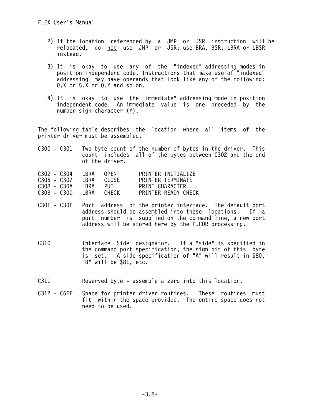- 2) If the location referenced by a JMP or JSR instruction will be relocated, do not use JMP or JSR; use BRA, BSR, LBRA or LBSR instead.
- 3) It is okay to use any of the "indexed" addressing modes in position independend code. Instructions that make use of "indexed" addressing may have operands that look like any of the following:  $0, X$  or  $5, X$  or  $0, Y$  and so on.
	- 4) It is okay to use the "immediate" addressing mode in position independent code. An immediate value is one preceded by the number sign character (#).

The following table describes the location where all items of the printer driver must be assembled.

C300 - C301 Two byte count of the number of bytes in the driver. This count includes all of the bytes between C302 and the end of the driver.

| $C302 - C304$ | LBRA  | OPEN         | PRINTER INITIALIZE  |
|---------------|-------|--------------|---------------------|
| $C305 - C307$ | I BRA | CLOSE.       | PRINTER TERMINATE   |
| C308 - C30A   | I BRA | PUT          | PRINT CHARACTER     |
| C30B - C30D   | LBRA  | <b>CHECK</b> | PRINTER READY CHECK |

- C30E C30F Port address of the printer interface. The default port address should be assembled into these locations. If a port number is supplied on the command line, a new port address will be stored here by the P.COR processing.
- C310 Interface Side designator. If a "side" is specified in the command port specification, the sign bit of this byte is set. A side specification of "A" will result in \$80, "B" will be \$81, etc.
- C311 Reserved byte assemble a zero into this location.
- C312 C6FF Space for printer driver routines. These routines must fit within the space provided. The entire space does not need to be used.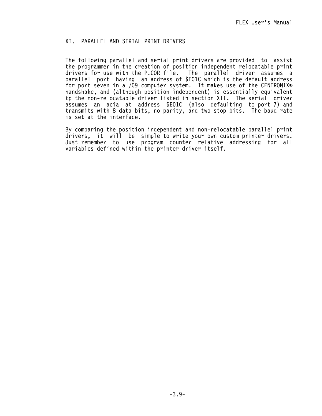## XI. PARALLEL AND SERIAL PRINT DRIVERS

The following parallel and serial print drivers are provided to assist the programmer in the creation of position independent relocatable print drivers for use with the P.COR file. The parallel driver assumes a parallel port having an address of \$E01C which is the default address for port seven in a /09 computer system. It makes use of the CENTRONIX® handshake, and (although position independent) is essentially equivalent tp the non-relocatable driver listed in section XII. The serial driver assumes an acia at address \$E01C (also defaulting to port 7) and transmits with 8 data bits, no parity, and two stop bits. The baud rate is set at the interface.

By comparing the position independent and non-relocatable parallel print drivers, it will be simple to write your own custom printer drivers. Just remember to use program counter relative addressing for all variables defined within the printer driver itself.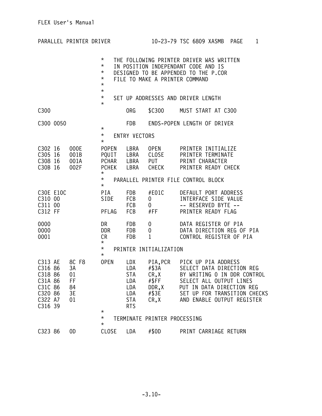| PARALLEL PRINTER DRIVER                                                                    |                                  |                                                                                  |                                                                                  |                                                    | 10-23-79 TSC 6809 XASMB PAGE<br>$\mathbf{1}$                                                                                                                                                                   |
|--------------------------------------------------------------------------------------------|----------------------------------|----------------------------------------------------------------------------------|----------------------------------------------------------------------------------|----------------------------------------------------|----------------------------------------------------------------------------------------------------------------------------------------------------------------------------------------------------------------|
|                                                                                            |                                  | $^\star$<br>$^\star$<br>$^\star$<br>$^\star$<br>$^\star$<br>$^\star$<br>$^\star$ |                                                                                  |                                                    | THE FOLLOWING PRINTER DRIVER WAS WRITTEN<br>IN POSITION INDEPENDANT CODE AND IS<br>DESIGNED TO BE APPENDED TO THE P.COR<br>FILE TO MAKE A PRINTER COMMAND<br>SET UP ADDRESSES AND DRIVER LENGTH                |
| C <sub>300</sub>                                                                           |                                  | $^\star$                                                                         | ORG                                                                              | \$C300                                             | MUST START AT C300                                                                                                                                                                                             |
| C300 0050                                                                                  |                                  |                                                                                  | <b>FDB</b>                                                                       |                                                    | ENDS-POPEN LENGTH OF DRIVER                                                                                                                                                                                    |
|                                                                                            |                                  | $^\star$<br>$\star$                                                              | <b>ENTRY VECTORS</b>                                                             |                                                    |                                                                                                                                                                                                                |
| C30216<br>C305 16<br>C308 16<br>C30B 16                                                    | 000E<br>001B<br>001A<br>002F     | $^\star$<br>POPEN<br>PQUIT LBRA<br>$^\star$                                      | LBRA<br>PCHAR LBRA<br>PCHEK LBRA                                                 | OPEN<br>CLOSE<br><b>PUT</b><br>CHECK               | PRINTER INITIALIZE<br>PRINTER TERMINATE<br>PRINT CHARACTER<br>PRINTER READY CHECK                                                                                                                              |
|                                                                                            |                                  | $^\star$<br>$^\star$                                                             |                                                                                  |                                                    | PARALLEL PRINTER FILE CONTROL BLOCK                                                                                                                                                                            |
| C30E E10C<br>C310 00<br>C311 00<br>C312 FF                                                 |                                  | PIA<br>SIDE<br>PFLAG                                                             | FDB<br>FCB<br><b>FCB</b><br><b>FCB</b>                                           | #E01C<br>0<br>0<br>#FF                             | DEFAULT PORT ADDRESS<br>INTERFACE SIDE VALUE<br>-- RESERVED BYTE --<br>PRINTER READY FLAG                                                                                                                      |
| 0000<br>0000<br>0001                                                                       |                                  | DR<br>DDR<br>CR<br>$^\star$                                                      | FDB<br><b>FDB</b><br><b>FDB</b>                                                  | 0<br>0<br>$\mathbf{1}$                             | DATA REGISTER OF PIA<br>DATA DIRECTION REG OF PIA<br>CONTROL REGISTER OF PIA                                                                                                                                   |
|                                                                                            |                                  | $^\star$<br>$^\star$                                                             |                                                                                  | PRINTER INITIALIZATION                             |                                                                                                                                                                                                                |
| C313 AE 8C F8<br>C316 86<br>C318 86<br>C31A 86<br>C31C 86<br>C320 86<br>C322 A7<br>C316 39 | 3A<br>01<br>FF<br>84<br>3E<br>01 | <b>OPEN</b><br>$^\star$                                                          | LDX<br>LDA<br><b>STA</b><br><b>LDA</b><br>LDA<br>LDA<br><b>STA</b><br><b>RTS</b> | #\$3A<br>CR, X<br>#\$FF<br>DDR,X<br>#\$3E<br>CR, X | PIA, PCR PICK UP PIA ADDRESS<br>SELECT DATA DIRECTION REG<br>BY WRITING O IN DDR CONTROL<br>SELECT ALL OUTPUT LINES<br>PUT IN DATA DIRECTION REG<br>SET UP FOR TRANSITION CHECKS<br>AND ENABLE OUTPUT REGISTER |
|                                                                                            |                                  | $^\star$<br>$^\star$                                                             |                                                                                  | TERMINATE PRINTER PROCESSING                       |                                                                                                                                                                                                                |
| C323 86                                                                                    | 0D                               | <b>CLOSE</b>                                                                     | LDA                                                                              | #\$0D                                              | PRINT CARRIAGE RETURN                                                                                                                                                                                          |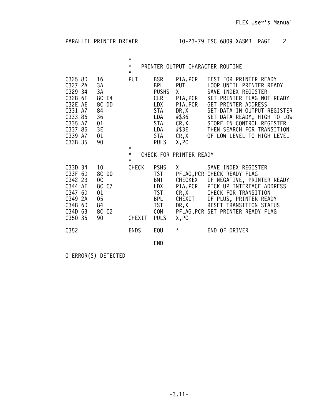PARALLEL PRINTER DRIVER 10-23-79 TSC 6809 XASMB PAGE 2

 $\star$ \* PRINTER OUTPUT CHARACTER ROUTINE

|                                                                                                                                                                                                     | $\star$                |                                                                                                          |                                                                                                           |                                                                                                                                                                                                                                                                                                           |
|-----------------------------------------------------------------------------------------------------------------------------------------------------------------------------------------------------|------------------------|----------------------------------------------------------------------------------------------------------|-----------------------------------------------------------------------------------------------------------|-----------------------------------------------------------------------------------------------------------------------------------------------------------------------------------------------------------------------------------------------------------------------------------------------------------|
| 16<br>C325 8D<br>2A<br>C327<br>3A<br>C329 34<br>3A<br>C32B 6F<br>8C E4<br>8C<br>DD<br>C32E AE<br>84<br>C331 A7<br>36<br>C333 86<br>C335 A7<br>01<br>3E<br>C337 86<br>01<br>C339 A7<br>C33B 35<br>90 | PUT<br>$\star$         | <b>BSR</b><br>BPL<br><b>PUSHS</b><br>CLR<br>LDX<br>STA<br>LDA<br><b>STA</b><br>LDA<br>STA<br><b>PULS</b> | PIA, PCR<br><b>PUT</b><br>X.<br>PIA, PCR<br>PIA, PCR<br>DR, X<br>#\$36<br>CR, X<br>#\$3E<br>CR,X<br>X, PC | TEST FOR PRINTER READY<br>L <sub>0</sub> OP<br>UNTIL PRINTER READY<br>SAVE INDEX REGISTER<br>SET PRINTER FLAG NOT READY<br>PRINTER ADDRESS<br>GET.<br>SET DATA IN OUTPUT REGISTER<br>SET DATA READY, HIGH TO LOW<br>STORE IN CONTROL REGISTER<br>THEN SEARCH FOR TRANSITION<br>OF LOW LEVEL TO HIGH LEVEL |
|                                                                                                                                                                                                     | $^\star$<br>$\star$    |                                                                                                          | CHECK FOR PRINTER READY                                                                                   |                                                                                                                                                                                                                                                                                                           |
| 10<br>C33D 34<br>8C DO<br>6D<br>C33F<br>C342 2B<br>0C<br>8C C7<br>C344 AE<br>6D<br>01<br>C347<br>05<br>C349 2A<br>C34B 6D<br>84<br>8C C2<br>C34D<br>63<br>C350 35<br>90                             | <b>CHECK</b><br>CHEXIT | <b>PSHS</b><br><b>TST</b><br>BMI<br>LDX<br><b>TST</b><br>BPL<br><b>TST</b><br>COM<br><b>PULS</b>         | X.<br>PFLAG, PCR<br>CHECKEX<br>PIA, PCR<br>CR, X<br>CHEXIT<br>DR,X<br>X, PC                               | SAVE INDEX REGISTER<br>CHECK READY FLAG<br>IF NEGATIVE, PRINTER READY<br>PICK UP INTERFACE ADDRESS<br>CHECK FOR TRANSITION<br>IF PLUS, PRINTER READY<br>RESET TRANSITION STATUS<br>PFLAG, PCR SET PRINTER READY FLAG                                                                                      |
| C352                                                                                                                                                                                                | <b>ENDS</b>            | EQU                                                                                                      | $^\star$                                                                                                  | END OF DRIVER                                                                                                                                                                                                                                                                                             |
|                                                                                                                                                                                                     |                        | <b>END</b>                                                                                               |                                                                                                           |                                                                                                                                                                                                                                                                                                           |

0 ERROR(S) DETECTED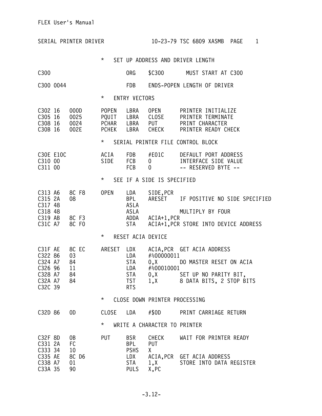|                                                                           | SERIAL PRINTER DRIVER               |                                                     |                                                                           |                                                  | 10-23-79 TSC 6809 XASMB                                                                                    | PAGE<br>$\mathbf{1}$ |
|---------------------------------------------------------------------------|-------------------------------------|-----------------------------------------------------|---------------------------------------------------------------------------|--------------------------------------------------|------------------------------------------------------------------------------------------------------------|----------------------|
|                                                                           |                                     | $\star$                                             |                                                                           |                                                  | SET UP ADDRESS AND DRIVER LENGTH                                                                           |                      |
| C300                                                                      |                                     |                                                     | ORG                                                                       | \$C300                                           | MUST START AT C300                                                                                         |                      |
| C300 0044                                                                 |                                     |                                                     | <b>FDB</b>                                                                |                                                  | ENDS-POPEN LENGTH OF DRIVER                                                                                |                      |
|                                                                           |                                     | $\star$                                             | <b>ENTRY VECTORS</b>                                                      |                                                  |                                                                                                            |                      |
| C302 16<br>C305 16<br>C308 16<br>C30B 16                                  | 000D<br>0025<br>0024<br>002E        | <b>POPEN</b><br>PQUIT LBRA<br><b>PCHAR</b><br>PCHEK | LBRA<br>LBRA<br>LBRA                                                      | <b>OPEN</b><br>CLOSE<br><b>PUT</b><br>CHECK      | PRINTER INITIALIZE<br>PRINTER TERMINATE<br>PRINT CHARACTER<br>PRINTER READY CHECK                          |                      |
|                                                                           |                                     | $^\star$                                            |                                                                           |                                                  | SERIAL PRINTER FILE CONTROL BLOCK                                                                          |                      |
| C30E E10C<br>C310 00<br>C311 00                                           |                                     | ACIA<br>SIDE                                        | FDB <sub>1</sub><br><b>FCB</b><br>FCB                                     | #EO1C<br>0<br>$\bf{0}$                           | DEFAULT PORT ADDRESS<br>INTERFACE SIDE VALUE<br>-- RESERVED BYTE --                                        |                      |
|                                                                           |                                     | $\star$                                             |                                                                           | SEE IF A SIDE IS SPECIFIED                       |                                                                                                            |                      |
| C313 A6<br>C315 2A<br>C317 48<br>C318 48<br>C319 AB<br>C31C A7            | 8C F8<br>08<br>8C F3<br>8C FO       | <b>OPEN</b>                                         | LDA<br><b>BPL</b><br>ASLA<br>ASLA<br>ADDA<br>STA                          | SIDE, PCR<br>ARESET<br>ACIA+1,PCR                | IF POSITIVE NO SIDE SPECIFIED<br>MULTIPLY BY FOUR<br>ACIA+1, PCR STORE INTO DEVICE ADDRESS                 |                      |
|                                                                           |                                     | $^\star$                                            | RESET ACIA DEVICE                                                         |                                                  |                                                                                                            |                      |
| C31F AE<br>C322 86<br>C324 A7<br>C326 96<br>C328 A7<br>C32A A7<br>C32C 39 | 8C EC<br>03<br>84<br>11<br>84<br>84 | ARESET                                              | LDX<br>LDA<br><b>STA</b><br>LDA<br><b>STA</b><br><b>TST</b><br><b>RTS</b> | #%00000011<br>0, X<br>#%00010001<br>0, X<br>1, X | ACIA, PCR GET ACIA ADDRESS<br>DO MASTER RESET ON ACIA<br>SET UP NO PARITY BIT,<br>8 DATA BITS, 2 STOP BITS |                      |
|                                                                           |                                     | $\star$                                             |                                                                           | CLOSE DOWN PRINTER PROCESSING                    |                                                                                                            |                      |
| C32D 86                                                                   | 0D                                  | <b>CLOSE</b>                                        | LDA                                                                       | #\$0D                                            | PRINT CARRIAGE RETURN                                                                                      |                      |
|                                                                           |                                     | $\star$                                             |                                                                           | WRITE A CHARACTER TO PRINTER                     |                                                                                                            |                      |
| C32F 8D<br>C331 2A<br>C333 34<br>C335 AE<br>C338 A7<br>C33A 35            | 0B<br>FC<br>10<br>8C D6<br>01<br>90 | <b>PUT</b>                                          | <b>BSR</b><br><b>BPL</b><br><b>PSHS</b><br>LDX<br>STA<br><b>PULS</b>      | CHECK<br><b>PUT</b><br>X.<br>1, X<br>X, PC       | WAIT FOR PRINTER READY<br>ACIA, PCR GET ACIA ADDRESS<br>STORE INTO DATA REGISTER                           |                      |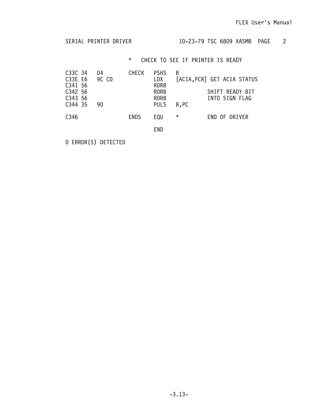SERIAL PRINTER DRIVER 10-23-79 TSC 6809 XASMB PAGE 2

\* CHECK TO SEE IF PRINTER IS READY

| C33C 34<br>C33E E6<br>C341 56<br>C342 56<br>C343 56<br>C344 35 | 04<br>9C CD<br>90 | <b>CHECK</b> | <b>PSHS</b><br>LDX<br><b>RORB</b><br><b>RORB</b><br><b>RORB</b><br><b>PULS</b> | B<br>B, PC | [ACIA, PCR] GET ACIA STATUS<br>SHIFT READY BIT<br>INTO SIGN FLAG |
|----------------------------------------------------------------|-------------------|--------------|--------------------------------------------------------------------------------|------------|------------------------------------------------------------------|
| C346                                                           |                   | <b>ENDS</b>  | EQU                                                                            | $^\star$   | END OF DRIVER                                                    |
|                                                                |                   |              | END                                                                            |            |                                                                  |

0 ERROR(S) DETECTED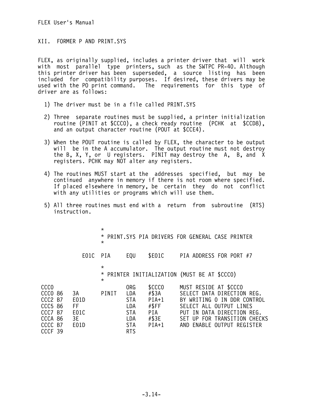## XII. FORMER P AND PRINT.SYS

FLEX, as originally supplied, includes a printer driver that will work with most parallel type printers, such as the SWTPC PR-40. Although this printer driver has been superseded, a source listing has been included for compatibility purposes. If desired, these drivers may be used with the PO print command. The requirements for this type of driver are as follows:

- 1) The driver must be in a file called PRINT.SYS
- 2) Three separate routines must be supplied, a printer initialization routine (PINIT at \$CCC0), a check ready routine (PCHK at \$CCD8), and an output character routine (POUT at \$CCE4).
- 3) When the POUT routine is called by FLEX, the character to be output will be in the A accumulator. The output routine must not destroy the B, X, Y, or U registers. PINIT may destroy the A, B, and  $X$ registers. PCHK may NOT alter any registers.
- 4) The routines MUST start at the addresses specified, but may be continued anywhere in memory if there is not room where specified. If placed elsewhere in memory, be certain they do not conflict with any utilities or programs which will use them.
- 5) All three routines must end with a return from subroutine (RTS) instruction.

|                                                                                                            |                                        | $\star$<br>$\star$            |                                                                                  |                                                                | * PRINT.SYS PIA DRIVERS FOR GENERAL CASE PRINTER                                                                                                                                                          |
|------------------------------------------------------------------------------------------------------------|----------------------------------------|-------------------------------|----------------------------------------------------------------------------------|----------------------------------------------------------------|-----------------------------------------------------------------------------------------------------------------------------------------------------------------------------------------------------------|
|                                                                                                            | E01C                                   | PIA                           | EQU                                                                              | \$E01C                                                         | PIA ADDRESS FOR PORT #7                                                                                                                                                                                   |
|                                                                                                            |                                        | $\star$<br>$\star$<br>$\star$ |                                                                                  |                                                                | PRINTER INITIALIZATION (MUST BE AT \$CCCO)                                                                                                                                                                |
| <b>CCCO</b><br>CCCO 86<br>CCC2 B7<br><b>CCC5 86</b><br>CCC7 B7<br>CCCA 86<br>CCCC B7<br>CCCF <sub>39</sub> | 3A<br>E01D<br>FF<br>E01C<br>3E<br>E01D | PINIT                         | ORG<br>LDA<br><b>STA</b><br>LDA<br><b>STA</b><br>LDA<br><b>STA</b><br><b>RTS</b> | \$CCCO<br>#\$3A<br>$PIA+1$<br>#\$FF<br>PIA<br>#\$3E<br>$PIA+1$ | MUST RESIDE AT \$CCCO<br>SELECT DATA DIRECTION REG.<br>BY WRITING O IN DDR CONTROL<br>SELECT ALL OUTPUT LINES<br>PUT IN DATA DIRECTION REG.<br>SET UP FOR TRANSITION CHECKS<br>AND ENABLE OUTPUT REGISTER |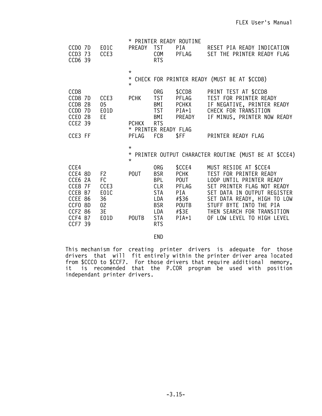|                               |                |                      |                                 | * PRINTER READY ROUTINE |                                                           |
|-------------------------------|----------------|----------------------|---------------------------------|-------------------------|-----------------------------------------------------------|
| CCDO 7D<br>CCD3 73<br>CCD6 39 | E01C<br>CCE3   | <b>PREADY</b>        | <b>TST</b><br>COM<br><b>RTS</b> | PIA DOMESTIC<br>PFLAG   | RESET PIA READY INDICATION<br>SET THE PRINTER READY FLAG  |
|                               |                | $\star$              |                                 |                         |                                                           |
|                               |                | $\star$<br>$\star$   |                                 |                         | CHECK FOR PRINTER READY (MUST BE AT \$CCD8)               |
| CCD <sub>8</sub>              |                |                      | 0RG                             | \$CCD8                  | PRINT TEST AT \$CCD8                                      |
| CCD8 7D                       | CCE3           | <b>PCHK</b>          | <b>TST</b>                      | PFLAG                   | TEST FOR PRINTER READY                                    |
| CCDB 2B                       | 05             |                      | BMI                             | <b>PCHKX</b>            | IF NEGATIVE, PRINTER READY                                |
| 7 <sub>D</sub><br><b>CCDD</b> | E01D           |                      | <b>TST</b>                      | $PIA+1$                 | CHECK FOR TRANSITION                                      |
| CCEO 2B<br><b>CCE2 39</b>     | EE.            | <b>PCHKX</b>         | BMI<br><b>RTS</b>               | <b>PREADY</b>           | IF MINUS, PRINTER NOW READY                               |
|                               |                | * PRINTER READY FLAG |                                 |                         |                                                           |
| CCE3 FF                       |                | PFLAG                | FCB                             | \$FF                    | PRINTER READY FLAG                                        |
|                               |                | $\star$              |                                 |                         |                                                           |
|                               |                | $\star$              |                                 |                         | * PRINTER OUTPUT CHARACTER ROUTINE (MUST BE AT \$CCE4)    |
| CCE4                          |                |                      | 0RG                             | \$CCE4                  | MUST RESIDE AT \$CCE4                                     |
| CCE4 8D                       | F <sub>2</sub> | <b>POUT</b>          | <b>BSR</b>                      | <b>PCHK</b>             | TEST FOR PRINTER READY                                    |
| CCE6 2A                       | FC             |                      | BPL                             | POUT                    | LOOP UNTIL PRINTER READY                                  |
| CCE8 7F<br>CCEB B7            | CCE3           |                      | CLR                             | PFLAG<br>PIA            | SET PRINTER FLAG NOT READY<br>SET DATA IN OUTPUT REGISTER |
| CCEE 86                       | E01C<br>36     |                      | <b>STA</b><br>LDA               | #\$36                   | SET DATA READY, HIGH TO LOW                               |
| CCFO 8D                       | 02             |                      | <b>BSR</b>                      | <b>POUTB</b>            | STUFF BYTE INTO THE PIA                                   |
| <b>CCF2 86</b>                | 3E             |                      | LDA                             | #\$3E                   | THEN SEARCH FOR TRANSITION                                |
| CCF4 B7                       | E01D           | <b>POUTB</b>         | <b>STA</b>                      | $PIA+1$                 | OF LOW LEVEL TO HIGH LEVEL                                |
| CCF7 39                       |                |                      | <b>RTS</b>                      |                         |                                                           |

END

This mechanism for creating printer drivers is adequate for those drivers that will fit entirely within the printer driver area located from \$CCC0 to \$CCF7. For those drivers that require additional memory, it is recomended that the P.COR program be used with position independant printer drivers.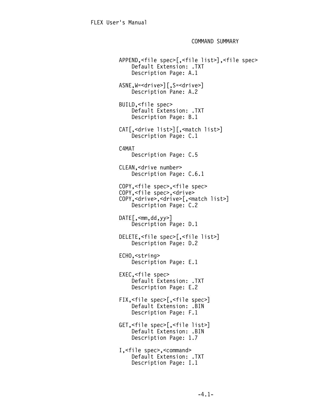COMMAND SUMMARY

 APPEND,<file spec>[,<file list>],<file spec> Default Extension: .TXT Description Page: A.1 ASNE,W=<drive>][,S=<drive>] Description Pane: A.2 BUILD,<file spec> Default Extension: .TXT Description Page: B.1 CAT[,<drive list>][,<match list>] Description Page: C.1 C4MAT Description Page: C.5 CLEAN,<drive number> Description Page: C.6.1 COPY,<file spec>,<file spec> COPY,<file spec>,<drive> COPY,<drive>,<drive>[,<match list>] Description Page: C.2  $DATE$ [,  $\leq$ mm, dd, yy>] Description Page: D.1 DELETE,<file spec>[,<file list>] Description Page: D.2 ECHO,<string> Description Page: E.1 EXEC,<file spec> Default Extension: .TXT Description Page: E.2 FIX,<file spec>[,<file spec>] Default Extension: .BIN Description Page: F.1 GET,<file spec>[,<file list>] Default Extension: .BIN Description Page: 1.7 I,<file spec>,<command> Default Extension: .TXT Description Page: I.1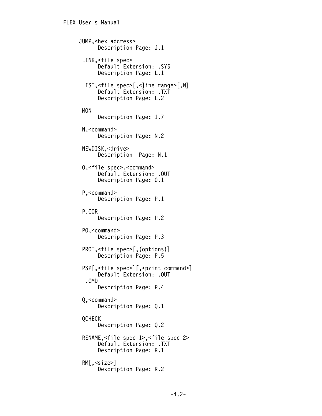```
 JUMP,<hex address>
       Description Page: J.1
  LINK,<file spec>
      Default Extension: .SYS
       Description Page: L.1
 LIST,<file spec>[,<]ine range>[,N]
       Default Extension: .TXT
       Description Page: L.2
  MON
       Description Page: 1.7
 N,<command>
       Description Page: N.2
  NEWDISK,<drive>
       Description Page: N.1
  O,<file spec>,<command>
       Default Extension: .OUT
       Description Page: 0.1
  P,<command>
       Description Page: P.1
  P.COR
       Description Page: P.2
  PO,<command>
       Description Page: P.3
  PROT,<file spec>[,(options)]
       Description Page: P.5
  PSP[,<file spec>][,<print command>]
       Default Extension: .OUT
   .CMD
       Description Page: P.4
  Q,<command>
       Description Page: Q.1
 OCHECK
       Description Page: Q.2
  RENAME,<file spec 1>,<file spec 2>
       Default Extension: .TXT
       Description Page: R.1
  RM[,<size>]
       Description Page: R.2
```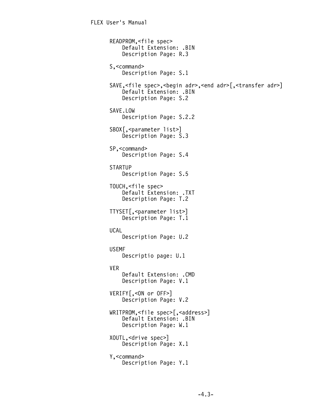```
 READPROM,<file spec>
     Default Extension: .BIN
     Description Page: R.3
 S,<command>
     Description Page: S.1
SAVE,<file spec>,<br/>begin adr>,<end adr>[,<transfer adr>]
     Default Extension: .BIN
     Description Page: S.2
 SAVE.LOW
     Description Page: S.2.2
 SBOX[,<parameter list>]
     Description Page: S.3
 SP,<command>
     Description Page: S.4
 STARTUP
     Description Page: S.5
 TOUCH,<file spec>
     Default Extension: .TXT
     Description Page: T.2
 TTYSET[,<parameter list>]
     Description Page: T.1
 UCAL
     Description Page: U.2
 USEMF
     Descriptio page: U.1
 VER
     Default Extension: .CMD
     Description Page: V.1
 VERIFY[,<ON or OFF>]
     Description Page: V.2
 WRITPROM,<file spec>[,<address>]
     Default Extension: .BIN
     Description Page: W.1
 XOUTL,<drive spec>]
     Description Page: X.1
 Y,<command>
     Description Page: Y.1
```